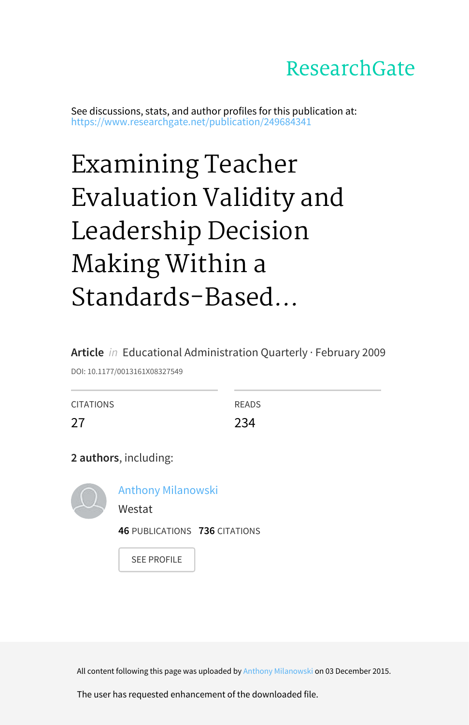# ResearchGate

See discussions, stats, and author profiles for this publication at: [https://www.researchgate.net/publication/249684341](https://www.researchgate.net/publication/249684341_Examining_Teacher_Evaluation_Validity_and_Leadership_Decision_Making_Within_a_Standards-Based_Evaluation_System?enrichId=rgreq-c4baae2bf8e45a7ad68f913d490869e9-XXX&enrichSource=Y292ZXJQYWdlOzI0OTY4NDM0MTtBUzozMDI2MzMwMDc0MTkzOTZAMTQ0OTE2NDczOTM5NA%3D%3D&el=1_x_2&_esc=publicationCoverPdf)

# Examining Teacher Evaluation Validity and Leadership Decision Making Within a Standards-Based...

**Article** in Educational Administration Quarterly · February 2009 DOI: 10.1177/0013161X08327549

CITATIONS 27

READS 234

**2 authors**, including:



Anthony [Milanowski](https://www.researchgate.net/profile/Anthony_Milanowski?enrichId=rgreq-c4baae2bf8e45a7ad68f913d490869e9-XXX&enrichSource=Y292ZXJQYWdlOzI0OTY4NDM0MTtBUzozMDI2MzMwMDc0MTkzOTZAMTQ0OTE2NDczOTM5NA%3D%3D&el=1_x_5&_esc=publicationCoverPdf)

[Westat](https://www.researchgate.net/institution/Westat?enrichId=rgreq-c4baae2bf8e45a7ad68f913d490869e9-XXX&enrichSource=Y292ZXJQYWdlOzI0OTY4NDM0MTtBUzozMDI2MzMwMDc0MTkzOTZAMTQ0OTE2NDczOTM5NA%3D%3D&el=1_x_6&_esc=publicationCoverPdf)

**46** PUBLICATIONS **736** CITATIONS

SEE [PROFILE](https://www.researchgate.net/profile/Anthony_Milanowski?enrichId=rgreq-c4baae2bf8e45a7ad68f913d490869e9-XXX&enrichSource=Y292ZXJQYWdlOzI0OTY4NDM0MTtBUzozMDI2MzMwMDc0MTkzOTZAMTQ0OTE2NDczOTM5NA%3D%3D&el=1_x_7&_esc=publicationCoverPdf)

All content following this page was uploaded by Anthony [Milanowski](https://www.researchgate.net/profile/Anthony_Milanowski?enrichId=rgreq-c4baae2bf8e45a7ad68f913d490869e9-XXX&enrichSource=Y292ZXJQYWdlOzI0OTY4NDM0MTtBUzozMDI2MzMwMDc0MTkzOTZAMTQ0OTE2NDczOTM5NA%3D%3D&el=1_x_10&_esc=publicationCoverPdf) on 03 December 2015.

The user has requested enhancement of the downloaded file.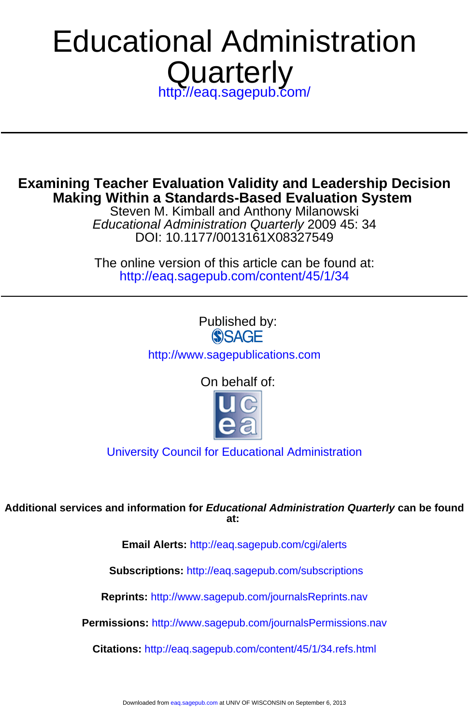# **Quarterly** Educational Administration

<http://eaq.sagepub.com/>

**Making Within a Standards-Based Evaluation System Examining Teacher Evaluation Validity and Leadership Decision**

DOI: 10.1177/0013161X08327549 Educational Administration Quarterly 2009 45: 34 Steven M. Kimball and Anthony Milanowski

<http://eaq.sagepub.com/content/45/1/34> The online version of this article can be found at:

Published by:<br>
SAGE

<http://www.sagepublications.com>

On behalf of:



[University Council for Educational Administration](http://www.ucea.org)

**at: Additional services and information for Educational Administration Quarterly can be found**

**Email Alerts:** <http://eaq.sagepub.com/cgi/alerts>

**Subscriptions:** <http://eaq.sagepub.com/subscriptions>

**Reprints:** <http://www.sagepub.com/journalsReprints.nav>

**Permissions:** <http://www.sagepub.com/journalsPermissions.nav>

**Citations:** <http://eaq.sagepub.com/content/45/1/34.refs.html>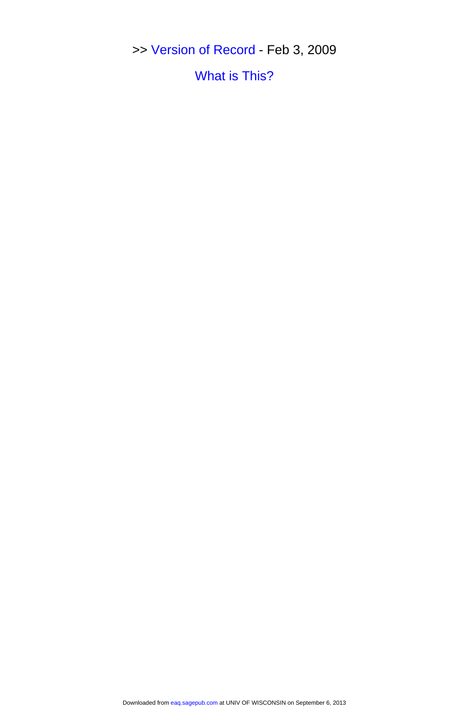>> [Version of Record -](http://eaq.sagepub.com/content/45/1/34.full.pdf) Feb 3, 2009

[What is This?](http://online.sagepub.com/site/sphelp/vorhelp.xhtml)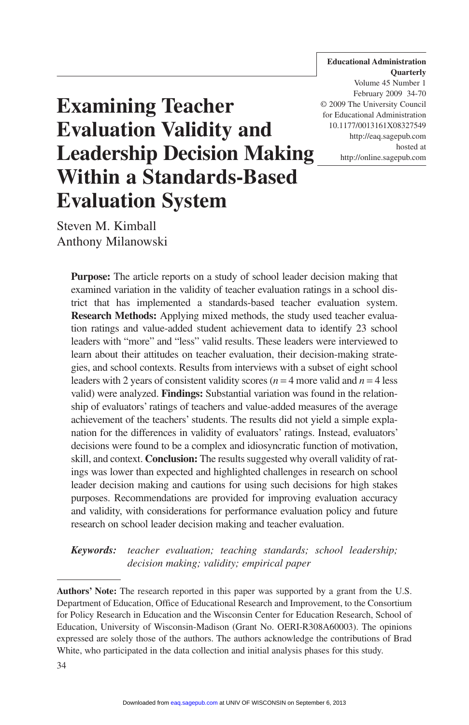**Educational Administration Quarterly** Volume 45 Number 1 February 2009 34-70 © 2009 The University Council for Educational Administration 10.1177/0013161X08327549 http://eaq.sagepub.com hosted at http://online.sagepub.com

# **Examining Teacher Evaluation Validity and Leadership Decision Making Within a Standards-Based Evaluation System**

Steven M. Kimball Anthony Milanowski

> **Purpose:** The article reports on a study of school leader decision making that examined variation in the validity of teacher evaluation ratings in a school district that has implemented a standards-based teacher evaluation system. **Research Methods:** Applying mixed methods, the study used teacher evaluation ratings and value-added student achievement data to identify 23 school leaders with "more" and "less" valid results. These leaders were interviewed to learn about their attitudes on teacher evaluation, their decision-making strategies, and school contexts. Results from interviews with a subset of eight school leaders with 2 years of consistent validity scores ( $n = 4$  more valid and  $n = 4$  less valid) were analyzed. **Findings:** Substantial variation was found in the relationship of evaluators' ratings of teachers and value-added measures of the average achievement of the teachers' students. The results did not yield a simple explanation for the differences in validity of evaluators' ratings. Instead, evaluators' decisions were found to be a complex and idiosyncratic function of motivation, skill, and context. **Conclusion:** The results suggested why overall validity of ratings was lower than expected and highlighted challenges in research on school leader decision making and cautions for using such decisions for high stakes purposes. Recommendations are provided for improving evaluation accuracy and validity, with considerations for performance evaluation policy and future research on school leader decision making and teacher evaluation.

> *Keywords: teacher evaluation; teaching standards; school leadership; decision making; validity; empirical paper*

**Authors' Note:** The research reported in this paper was supported by a grant from the U.S. Department of Education, Office of Educational Research and Improvement, to the Consortium for Policy Research in Education and the Wisconsin Center for Education Research, School of Education, University of Wisconsin-Madison (Grant No. OERI-R308A60003). The opinions expressed are solely those of the authors. The authors acknowledge the contributions of Brad White, who participated in the data collection and initial analysis phases for this study.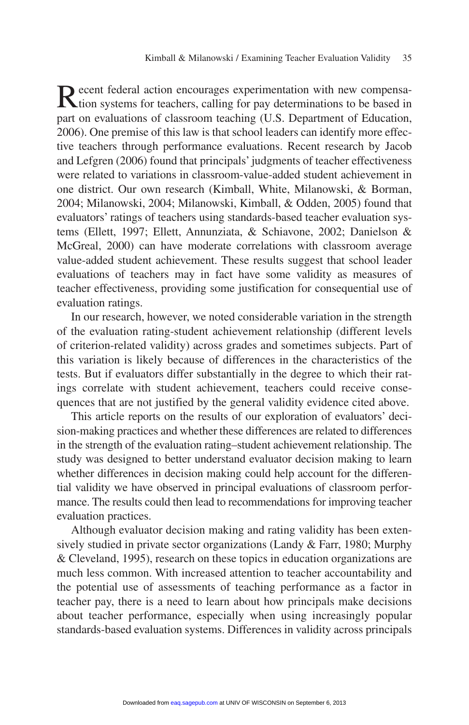Recent federal action encourages experimentation with new compensation systems for teachers, calling for pay determinations to be based in part on evaluations of classroom teaching (U.S. Department of Education, 2006). One premise of this law is that school leaders can identify more effective teachers through performance evaluations. Recent research by Jacob and Lefgren (2006) found that principals' judgments of teacher effectiveness were related to variations in classroom-value-added student achievement in one district. Our own research (Kimball, White, Milanowski, & Borman, 2004; Milanowski, 2004; Milanowski, Kimball, & Odden, 2005) found that evaluators' ratings of teachers using standards-based teacher evaluation systems (Ellett, 1997; Ellett, Annunziata, & Schiavone, 2002; Danielson & McGreal, 2000) can have moderate correlations with classroom average value-added student achievement. These results suggest that school leader evaluations of teachers may in fact have some validity as measures of teacher effectiveness, providing some justification for consequential use of evaluation ratings.

In our research, however, we noted considerable variation in the strength of the evaluation rating-student achievement relationship (different levels of criterion-related validity) across grades and sometimes subjects. Part of this variation is likely because of differences in the characteristics of the tests. But if evaluators differ substantially in the degree to which their ratings correlate with student achievement, teachers could receive consequences that are not justified by the general validity evidence cited above.

This article reports on the results of our exploration of evaluators' decision-making practices and whether these differences are related to differences in the strength of the evaluation rating–student achievement relationship. The study was designed to better understand evaluator decision making to learn whether differences in decision making could help account for the differential validity we have observed in principal evaluations of classroom performance. The results could then lead to recommendations for improving teacher evaluation practices.

Although evaluator decision making and rating validity has been extensively studied in private sector organizations (Landy & Farr, 1980; Murphy & Cleveland, 1995), research on these topics in education organizations are much less common. With increased attention to teacher accountability and the potential use of assessments of teaching performance as a factor in teacher pay, there is a need to learn about how principals make decisions about teacher performance, especially when using increasingly popular standards-based evaluation systems. Differences in validity across principals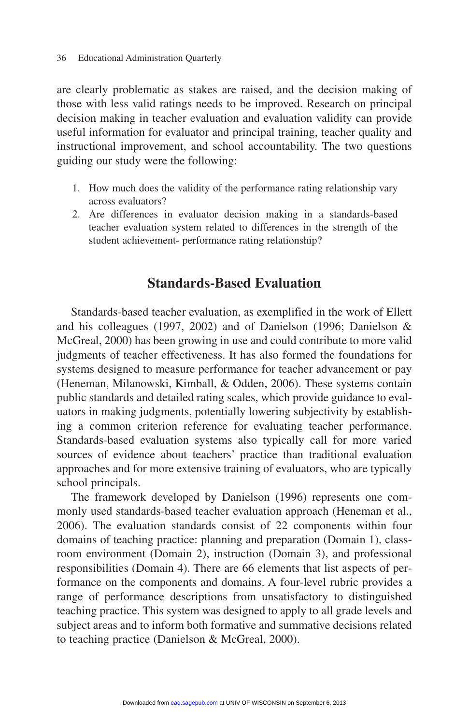are clearly problematic as stakes are raised, and the decision making of those with less valid ratings needs to be improved. Research on principal decision making in teacher evaluation and evaluation validity can provide useful information for evaluator and principal training, teacher quality and instructional improvement, and school accountability. The two questions guiding our study were the following:

- 1. How much does the validity of the performance rating relationship vary across evaluators?
- 2. Are differences in evaluator decision making in a standards-based teacher evaluation system related to differences in the strength of the student achievement- performance rating relationship?

## **Standards-Based Evaluation**

Standards-based teacher evaluation, as exemplified in the work of Ellett and his colleagues (1997, 2002) and of Danielson (1996; Danielson & McGreal, 2000) has been growing in use and could contribute to more valid judgments of teacher effectiveness. It has also formed the foundations for systems designed to measure performance for teacher advancement or pay (Heneman, Milanowski, Kimball, & Odden, 2006). These systems contain public standards and detailed rating scales, which provide guidance to evaluators in making judgments, potentially lowering subjectivity by establishing a common criterion reference for evaluating teacher performance. Standards-based evaluation systems also typically call for more varied sources of evidence about teachers' practice than traditional evaluation approaches and for more extensive training of evaluators, who are typically school principals.

The framework developed by Danielson (1996) represents one commonly used standards-based teacher evaluation approach (Heneman et al., 2006). The evaluation standards consist of 22 components within four domains of teaching practice: planning and preparation (Domain 1), classroom environment (Domain 2), instruction (Domain 3), and professional responsibilities (Domain 4). There are 66 elements that list aspects of performance on the components and domains. A four-level rubric provides a range of performance descriptions from unsatisfactory to distinguished teaching practice. This system was designed to apply to all grade levels and subject areas and to inform both formative and summative decisions related to teaching practice (Danielson & McGreal, 2000).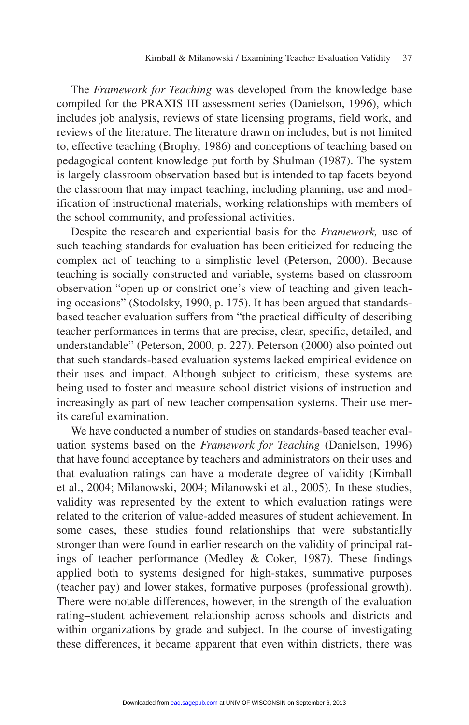The *Framework for Teaching* was developed from the knowledge base compiled for the PRAXIS III assessment series (Danielson, 1996), which includes job analysis, reviews of state licensing programs, field work, and reviews of the literature. The literature drawn on includes, but is not limited to, effective teaching (Brophy, 1986) and conceptions of teaching based on pedagogical content knowledge put forth by Shulman (1987). The system is largely classroom observation based but is intended to tap facets beyond the classroom that may impact teaching, including planning, use and modification of instructional materials, working relationships with members of the school community, and professional activities.

Despite the research and experiential basis for the *Framework,* use of such teaching standards for evaluation has been criticized for reducing the complex act of teaching to a simplistic level (Peterson, 2000). Because teaching is socially constructed and variable, systems based on classroom observation "open up or constrict one's view of teaching and given teaching occasions" (Stodolsky, 1990, p. 175). It has been argued that standardsbased teacher evaluation suffers from "the practical difficulty of describing teacher performances in terms that are precise, clear, specific, detailed, and understandable" (Peterson, 2000, p. 227). Peterson (2000) also pointed out that such standards-based evaluation systems lacked empirical evidence on their uses and impact. Although subject to criticism, these systems are being used to foster and measure school district visions of instruction and increasingly as part of new teacher compensation systems. Their use merits careful examination.

We have conducted a number of studies on standards-based teacher evaluation systems based on the *Framework for Teaching* (Danielson, 1996) that have found acceptance by teachers and administrators on their uses and that evaluation ratings can have a moderate degree of validity (Kimball et al., 2004; Milanowski, 2004; Milanowski et al., 2005). In these studies, validity was represented by the extent to which evaluation ratings were related to the criterion of value-added measures of student achievement. In some cases, these studies found relationships that were substantially stronger than were found in earlier research on the validity of principal ratings of teacher performance (Medley & Coker, 1987). These findings applied both to systems designed for high-stakes, summative purposes (teacher pay) and lower stakes, formative purposes (professional growth). There were notable differences, however, in the strength of the evaluation rating–student achievement relationship across schools and districts and within organizations by grade and subject. In the course of investigating these differences, it became apparent that even within districts, there was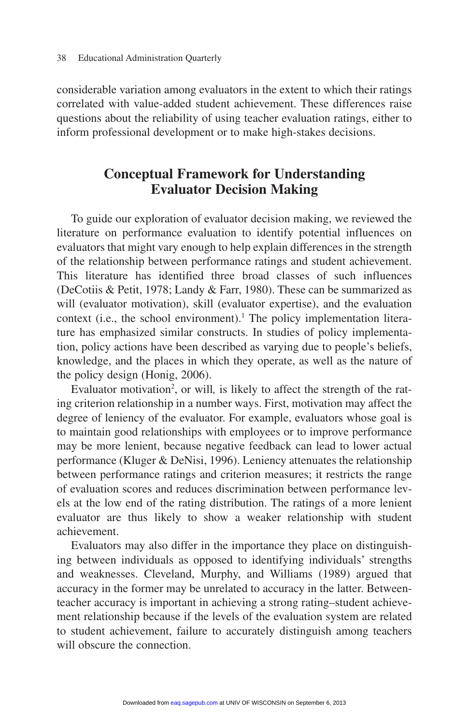considerable variation among evaluators in the extent to which their ratings correlated with value-added student achievement. These differences raise questions about the reliability of using teacher evaluation ratings, either to inform professional development or to make high-stakes decisions.

# **Conceptual Framework for Understanding Evaluator Decision Making**

To guide our exploration of evaluator decision making, we reviewed the literature on performance evaluation to identify potential influences on evaluators that might vary enough to help explain differences in the strength of the relationship between performance ratings and student achievement. This literature has identified three broad classes of such influences (DeCotiis & Petit, 1978; Landy & Farr, 1980). These can be summarized as will (evaluator motivation), skill (evaluator expertise), and the evaluation context (i.e., the school environment).<sup>1</sup> The policy implementation literature has emphasized similar constructs. In studies of policy implementation, policy actions have been described as varying due to people's beliefs, knowledge, and the places in which they operate, as well as the nature of the policy design (Honig, 2006).

Evaluator motivation<sup>2</sup>, or will, is likely to affect the strength of the rating criterion relationship in a number ways. First, motivation may affect the degree of leniency of the evaluator. For example, evaluators whose goal is to maintain good relationships with employees or to improve performance may be more lenient, because negative feedback can lead to lower actual performance (Kluger & DeNisi, 1996). Leniency attenuates the relationship between performance ratings and criterion measures; it restricts the range of evaluation scores and reduces discrimination between performance levels at the low end of the rating distribution. The ratings of a more lenient evaluator are thus likely to show a weaker relationship with student achievement.

Evaluators may also differ in the importance they place on distinguishing between individuals as opposed to identifying individuals' strengths and weaknesses. Cleveland, Murphy, and Williams (1989) argued that accuracy in the former may be unrelated to accuracy in the latter. Betweenteacher accuracy is important in achieving a strong rating–student achievement relationship because if the levels of the evaluation system are related to student achievement, failure to accurately distinguish among teachers will obscure the connection.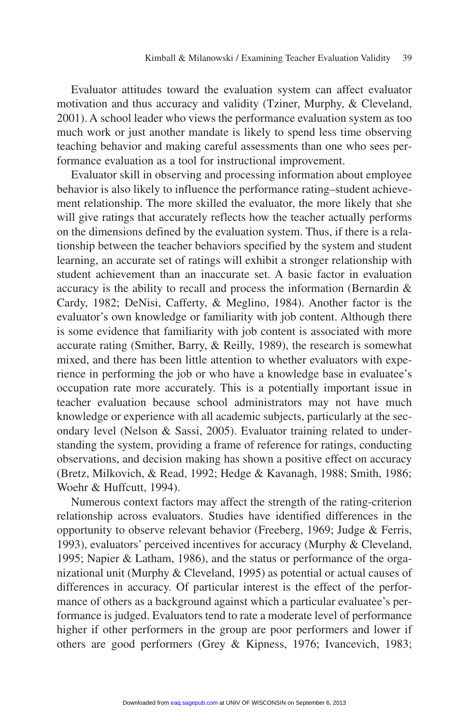Evaluator attitudes toward the evaluation system can affect evaluator motivation and thus accuracy and validity (Tziner, Murphy, & Cleveland, 2001). A school leader who views the performance evaluation system as too much work or just another mandate is likely to spend less time observing teaching behavior and making careful assessments than one who sees performance evaluation as a tool for instructional improvement.

Evaluator skill in observing and processing information about employee behavior is also likely to influence the performance rating–student achievement relationship. The more skilled the evaluator, the more likely that she will give ratings that accurately reflects how the teacher actually performs on the dimensions defined by the evaluation system. Thus, if there is a relationship between the teacher behaviors specified by the system and student learning, an accurate set of ratings will exhibit a stronger relationship with student achievement than an inaccurate set. A basic factor in evaluation accuracy is the ability to recall and process the information (Bernardin & Cardy, 1982; DeNisi, Cafferty, & Meglino, 1984). Another factor is the evaluator's own knowledge or familiarity with job content. Although there is some evidence that familiarity with job content is associated with more accurate rating (Smither, Barry, & Reilly, 1989), the research is somewhat mixed, and there has been little attention to whether evaluators with experience in performing the job or who have a knowledge base in evaluatee's occupation rate more accurately. This is a potentially important issue in teacher evaluation because school administrators may not have much knowledge or experience with all academic subjects, particularly at the secondary level (Nelson & Sassi, 2005). Evaluator training related to understanding the system, providing a frame of reference for ratings, conducting observations, and decision making has shown a positive effect on accuracy (Bretz, Milkovich, & Read, 1992; Hedge & Kavanagh, 1988; Smith, 1986; Woehr & Huffcutt, 1994).

Numerous context factors may affect the strength of the rating-criterion relationship across evaluators. Studies have identified differences in the opportunity to observe relevant behavior (Freeberg, 1969; Judge & Ferris, 1993), evaluators' perceived incentives for accuracy (Murphy & Cleveland, 1995; Napier & Latham, 1986), and the status or performance of the organizational unit (Murphy & Cleveland, 1995) as potential or actual causes of differences in accuracy. Of particular interest is the effect of the performance of others as a background against which a particular evaluatee's performance is judged. Evaluators tend to rate a moderate level of performance higher if other performers in the group are poor performers and lower if others are good performers (Grey & Kipness, 1976; Ivancevich, 1983;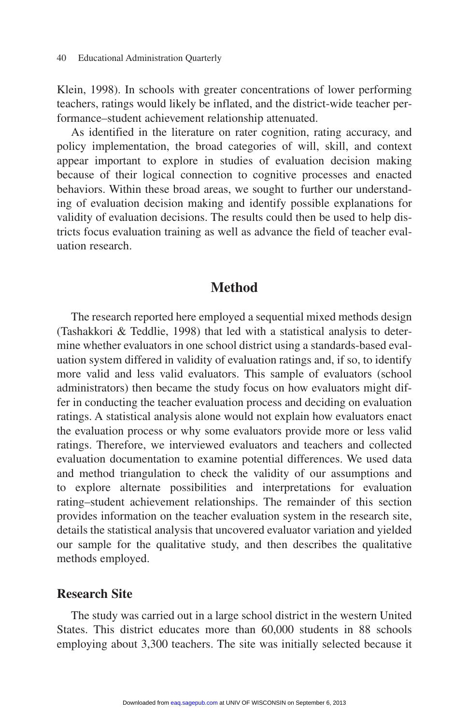Klein, 1998). In schools with greater concentrations of lower performing teachers, ratings would likely be inflated, and the district-wide teacher performance–student achievement relationship attenuated.

As identified in the literature on rater cognition, rating accuracy, and policy implementation, the broad categories of will, skill, and context appear important to explore in studies of evaluation decision making because of their logical connection to cognitive processes and enacted behaviors. Within these broad areas, we sought to further our understanding of evaluation decision making and identify possible explanations for validity of evaluation decisions. The results could then be used to help districts focus evaluation training as well as advance the field of teacher evaluation research.

### **Method**

The research reported here employed a sequential mixed methods design (Tashakkori & Teddlie, 1998) that led with a statistical analysis to determine whether evaluators in one school district using a standards-based evaluation system differed in validity of evaluation ratings and, if so, to identify more valid and less valid evaluators. This sample of evaluators (school administrators) then became the study focus on how evaluators might differ in conducting the teacher evaluation process and deciding on evaluation ratings. A statistical analysis alone would not explain how evaluators enact the evaluation process or why some evaluators provide more or less valid ratings. Therefore, we interviewed evaluators and teachers and collected evaluation documentation to examine potential differences. We used data and method triangulation to check the validity of our assumptions and to explore alternate possibilities and interpretations for evaluation rating–student achievement relationships. The remainder of this section provides information on the teacher evaluation system in the research site, details the statistical analysis that uncovered evaluator variation and yielded our sample for the qualitative study, and then describes the qualitative methods employed.

#### **Research Site**

The study was carried out in a large school district in the western United States. This district educates more than 60,000 students in 88 schools employing about 3,300 teachers. The site was initially selected because it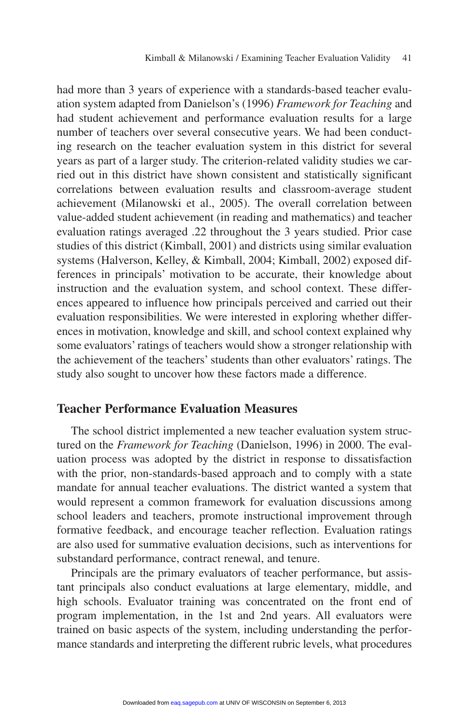had more than 3 years of experience with a standards-based teacher evaluation system adapted from Danielson's (1996) *Framework for Teaching* and had student achievement and performance evaluation results for a large number of teachers over several consecutive years. We had been conducting research on the teacher evaluation system in this district for several years as part of a larger study. The criterion-related validity studies we carried out in this district have shown consistent and statistically significant correlations between evaluation results and classroom-average student achievement (Milanowski et al., 2005). The overall correlation between value-added student achievement (in reading and mathematics) and teacher evaluation ratings averaged .22 throughout the 3 years studied. Prior case studies of this district (Kimball, 2001) and districts using similar evaluation systems (Halverson, Kelley, & Kimball, 2004; Kimball, 2002) exposed differences in principals' motivation to be accurate, their knowledge about instruction and the evaluation system, and school context. These differences appeared to influence how principals perceived and carried out their evaluation responsibilities. We were interested in exploring whether differences in motivation, knowledge and skill, and school context explained why some evaluators' ratings of teachers would show a stronger relationship with the achievement of the teachers' students than other evaluators' ratings. The study also sought to uncover how these factors made a difference.

### **Teacher Performance Evaluation Measures**

The school district implemented a new teacher evaluation system structured on the *Framework for Teaching* (Danielson, 1996) in 2000. The evaluation process was adopted by the district in response to dissatisfaction with the prior, non-standards-based approach and to comply with a state mandate for annual teacher evaluations. The district wanted a system that would represent a common framework for evaluation discussions among school leaders and teachers, promote instructional improvement through formative feedback, and encourage teacher reflection. Evaluation ratings are also used for summative evaluation decisions, such as interventions for substandard performance, contract renewal, and tenure.

Principals are the primary evaluators of teacher performance, but assistant principals also conduct evaluations at large elementary, middle, and high schools. Evaluator training was concentrated on the front end of program implementation, in the 1st and 2nd years. All evaluators were trained on basic aspects of the system, including understanding the performance standards and interpreting the different rubric levels, what procedures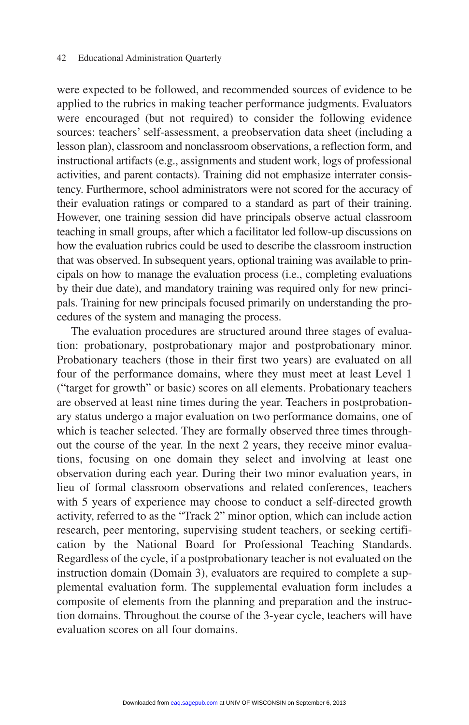were expected to be followed, and recommended sources of evidence to be applied to the rubrics in making teacher performance judgments. Evaluators were encouraged (but not required) to consider the following evidence sources: teachers' self-assessment, a preobservation data sheet (including a lesson plan), classroom and nonclassroom observations, a reflection form, and instructional artifacts (e.g., assignments and student work, logs of professional activities, and parent contacts). Training did not emphasize interrater consistency. Furthermore, school administrators were not scored for the accuracy of their evaluation ratings or compared to a standard as part of their training. However, one training session did have principals observe actual classroom teaching in small groups, after which a facilitator led follow-up discussions on how the evaluation rubrics could be used to describe the classroom instruction that was observed. In subsequent years, optional training was available to principals on how to manage the evaluation process (i.e., completing evaluations by their due date), and mandatory training was required only for new principals. Training for new principals focused primarily on understanding the procedures of the system and managing the process.

The evaluation procedures are structured around three stages of evaluation: probationary, postprobationary major and postprobationary minor. Probationary teachers (those in their first two years) are evaluated on all four of the performance domains, where they must meet at least Level 1 ("target for growth" or basic) scores on all elements. Probationary teachers are observed at least nine times during the year. Teachers in postprobationary status undergo a major evaluation on two performance domains, one of which is teacher selected. They are formally observed three times throughout the course of the year. In the next 2 years, they receive minor evaluations, focusing on one domain they select and involving at least one observation during each year. During their two minor evaluation years, in lieu of formal classroom observations and related conferences, teachers with 5 years of experience may choose to conduct a self-directed growth activity, referred to as the "Track 2" minor option, which can include action research, peer mentoring, supervising student teachers, or seeking certification by the National Board for Professional Teaching Standards. Regardless of the cycle, if a postprobationary teacher is not evaluated on the instruction domain (Domain 3), evaluators are required to complete a supplemental evaluation form. The supplemental evaluation form includes a composite of elements from the planning and preparation and the instruction domains. Throughout the course of the 3-year cycle, teachers will have evaluation scores on all four domains.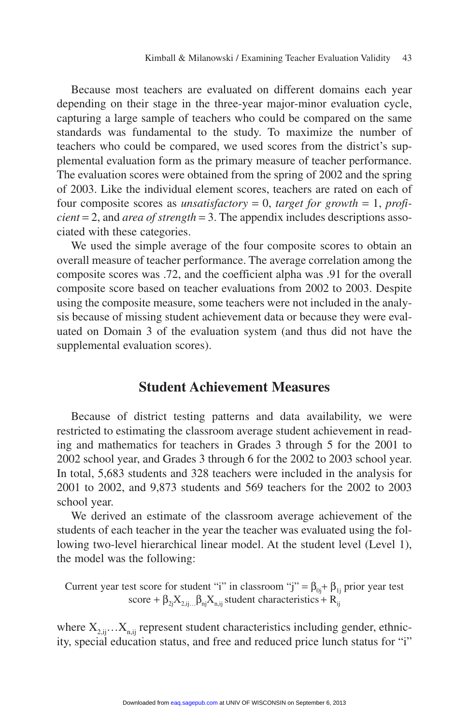Because most teachers are evaluated on different domains each year depending on their stage in the three-year major-minor evaluation cycle, capturing a large sample of teachers who could be compared on the same standards was fundamental to the study. To maximize the number of teachers who could be compared, we used scores from the district's supplemental evaluation form as the primary measure of teacher performance. The evaluation scores were obtained from the spring of 2002 and the spring of 2003. Like the individual element scores, teachers are rated on each of four composite scores as *unsatisfactory* = 0, *target for growth* = 1, *proficient* = 2, and *area of strength* = 3. The appendix includes descriptions associated with these categories.

We used the simple average of the four composite scores to obtain an overall measure of teacher performance. The average correlation among the composite scores was .72, and the coefficient alpha was .91 for the overall composite score based on teacher evaluations from 2002 to 2003. Despite using the composite measure, some teachers were not included in the analysis because of missing student achievement data or because they were evaluated on Domain 3 of the evaluation system (and thus did not have the supplemental evaluation scores).

#### **Student Achievement Measures**

Because of district testing patterns and data availability, we were restricted to estimating the classroom average student achievement in reading and mathematics for teachers in Grades 3 through 5 for the 2001 to 2002 school year, and Grades 3 through 6 for the 2002 to 2003 school year. In total, 5,683 students and 328 teachers were included in the analysis for 2001 to 2002, and 9,873 students and 569 teachers for the 2002 to 2003 school year.

We derived an estimate of the classroom average achievement of the students of each teacher in the year the teacher was evaluated using the following two-level hierarchical linear model. At the student level (Level 1), the model was the following:

Current year test score for student "i" in classroom "j" =  $\beta_{0j}$ +  $\beta_{1j}$  prior year test score +  $\beta_{2j}X_{2,ij}$ .  $\beta_{nj}X_{n,ij}$  student characteristics +  $R_{ij}$ 

where  $X_{2,ii}...X_{n,ij}$  represent student characteristics including gender, ethnicity, special education status, and free and reduced price lunch status for "i"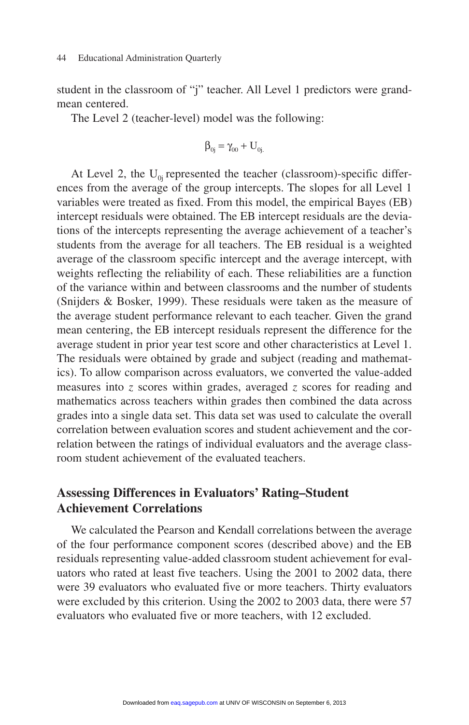student in the classroom of "j" teacher. All Level 1 predictors were grandmean centered.

The Level 2 (teacher-level) model was the following:

$$
\beta_{0j}=\gamma_{00}+U_{0j.}
$$

At Level 2, the  $U_{0i}$  represented the teacher (classroom)-specific differences from the average of the group intercepts. The slopes for all Level 1 variables were treated as fixed. From this model, the empirical Bayes (EB) intercept residuals were obtained. The EB intercept residuals are the deviations of the intercepts representing the average achievement of a teacher's students from the average for all teachers. The EB residual is a weighted average of the classroom specific intercept and the average intercept, with weights reflecting the reliability of each. These reliabilities are a function of the variance within and between classrooms and the number of students (Snijders & Bosker, 1999). These residuals were taken as the measure of the average student performance relevant to each teacher. Given the grand mean centering, the EB intercept residuals represent the difference for the average student in prior year test score and other characteristics at Level 1. The residuals were obtained by grade and subject (reading and mathematics). To allow comparison across evaluators, we converted the value-added measures into *z* scores within grades, averaged *z* scores for reading and mathematics across teachers within grades then combined the data across grades into a single data set. This data set was used to calculate the overall correlation between evaluation scores and student achievement and the correlation between the ratings of individual evaluators and the average classroom student achievement of the evaluated teachers.

### **Assessing Differences in Evaluators' Rating–Student Achievement Correlations**

We calculated the Pearson and Kendall correlations between the average of the four performance component scores (described above) and the EB residuals representing value-added classroom student achievement for evaluators who rated at least five teachers. Using the 2001 to 2002 data, there were 39 evaluators who evaluated five or more teachers. Thirty evaluators were excluded by this criterion. Using the 2002 to 2003 data, there were 57 evaluators who evaluated five or more teachers, with 12 excluded.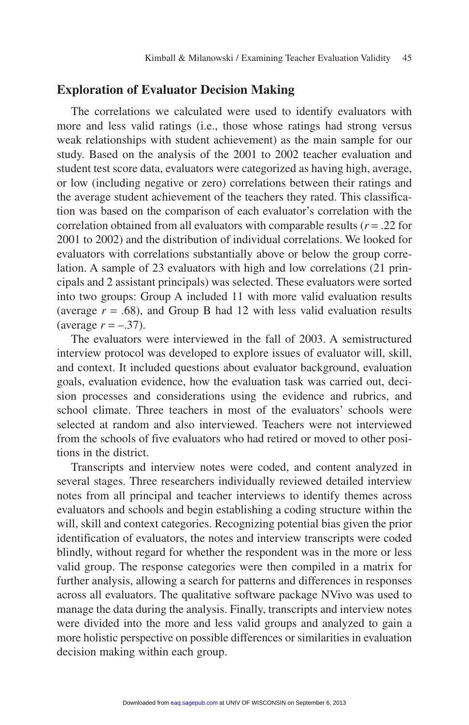#### **Exploration of Evaluator Decision Making**

The correlations we calculated were used to identify evaluators with more and less valid ratings (i.e., those whose ratings had strong versus weak relationships with student achievement) as the main sample for our study. Based on the analysis of the 2001 to 2002 teacher evaluation and student test score data, evaluators were categorized as having high, average, or low (including negative or zero) correlations between their ratings and the average student achievement of the teachers they rated. This classification was based on the comparison of each evaluator's correlation with the correlation obtained from all evaluators with comparable results (*r* = .22 for 2001 to 2002) and the distribution of individual correlations. We looked for evaluators with correlations substantially above or below the group correlation. A sample of 23 evaluators with high and low correlations (21 principals and 2 assistant principals) was selected. These evaluators were sorted into two groups: Group A included 11 with more valid evaluation results (average  $r = .68$ ), and Group B had 12 with less valid evaluation results (average  $r = -.37$ ).

The evaluators were interviewed in the fall of 2003. A semistructured interview protocol was developed to explore issues of evaluator will, skill, and context. It included questions about evaluator background, evaluation goals, evaluation evidence, how the evaluation task was carried out, decision processes and considerations using the evidence and rubrics, and school climate. Three teachers in most of the evaluators' schools were selected at random and also interviewed. Teachers were not interviewed from the schools of five evaluators who had retired or moved to other positions in the district.

Transcripts and interview notes were coded, and content analyzed in several stages. Three researchers individually reviewed detailed interview notes from all principal and teacher interviews to identify themes across evaluators and schools and begin establishing a coding structure within the will, skill and context categories. Recognizing potential bias given the prior identification of evaluators, the notes and interview transcripts were coded blindly, without regard for whether the respondent was in the more or less valid group. The response categories were then compiled in a matrix for further analysis, allowing a search for patterns and differences in responses across all evaluators. The qualitative software package NVivo was used to manage the data during the analysis. Finally, transcripts and interview notes were divided into the more and less valid groups and analyzed to gain a more holistic perspective on possible differences or similarities in evaluation decision making within each group.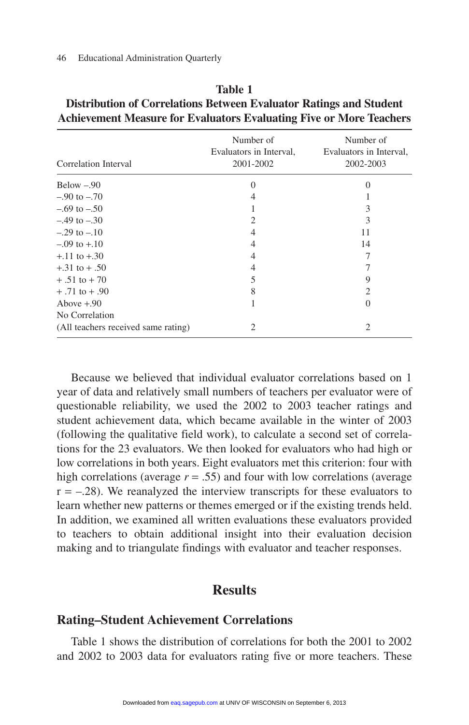#### 46 Educational Administration Quarterly

| Correlation Interval                | Number of<br>Evaluators in Interval,<br>2001-2002 | Number of<br>Evaluators in Interval,<br>2002-2003 |
|-------------------------------------|---------------------------------------------------|---------------------------------------------------|
| $Below -.90$                        | $\Omega$                                          | $\Omega$                                          |
| $-.90$ to $-.70$                    | 4                                                 |                                                   |
| $-.69$ to $-.50$                    |                                                   | 3                                                 |
| $-.49$ to $-.30$                    | $\overline{c}$                                    | 3                                                 |
| $-.29$ to $-.10$                    | 4                                                 | 11                                                |
| $-.09$ to $+.10$                    | 4                                                 | 14                                                |
| $+11$ to $+30$                      | 4                                                 | 7                                                 |
| $+.31$ to $+.50$                    | 4                                                 |                                                   |
| $+ .51$ to $+ 70$                   | 5                                                 | 9                                                 |
| $+$ .71 to $+$ .90                  | 8                                                 | $\mathfrak{D}$                                    |
| Above $+.90$                        |                                                   |                                                   |
| No Correlation                      |                                                   |                                                   |
| (All teachers received same rating) | 2                                                 | 2                                                 |

| Table 1                                                                    |
|----------------------------------------------------------------------------|
| <b>Distribution of Correlations Between Evaluator Ratings and Student</b>  |
| <b>Achievement Measure for Evaluators Evaluating Five or More Teachers</b> |

Because we believed that individual evaluator correlations based on 1 year of data and relatively small numbers of teachers per evaluator were of questionable reliability, we used the 2002 to 2003 teacher ratings and student achievement data, which became available in the winter of 2003 (following the qualitative field work), to calculate a second set of correlations for the 23 evaluators. We then looked for evaluators who had high or low correlations in both years. Eight evaluators met this criterion: four with high correlations (average  $r = .55$ ) and four with low correlations (average  $r = -.28$ ). We reanalyzed the interview transcripts for these evaluators to learn whether new patterns or themes emerged or if the existing trends held. In addition, we examined all written evaluations these evaluators provided to teachers to obtain additional insight into their evaluation decision making and to triangulate findings with evaluator and teacher responses.

### **Results**

#### **Rating–Student Achievement Correlations**

Table 1 shows the distribution of correlations for both the 2001 to 2002 and 2002 to 2003 data for evaluators rating five or more teachers. These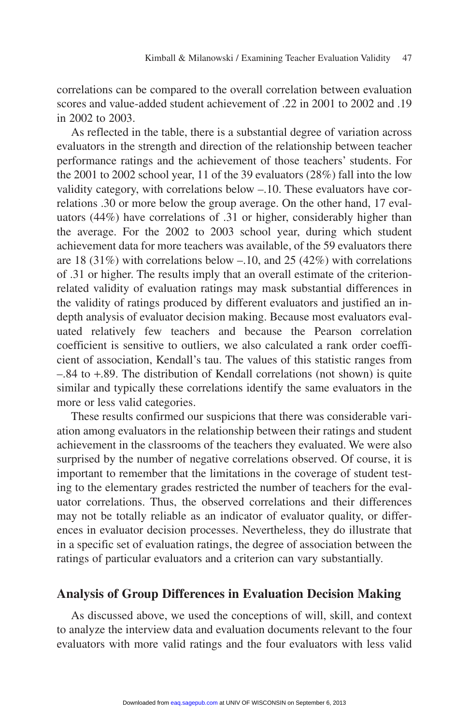correlations can be compared to the overall correlation between evaluation scores and value-added student achievement of .22 in 2001 to 2002 and .19 in 2002 to 2003.

As reflected in the table, there is a substantial degree of variation across evaluators in the strength and direction of the relationship between teacher performance ratings and the achievement of those teachers' students. For the 2001 to 2002 school year, 11 of the 39 evaluators (28%) fall into the low validity category, with correlations below –.10. These evaluators have correlations .30 or more below the group average. On the other hand, 17 evaluators (44%) have correlations of .31 or higher, considerably higher than the average. For the 2002 to 2003 school year, during which student achievement data for more teachers was available, of the 59 evaluators there are 18 (31%) with correlations below  $-10$ , and 25 (42%) with correlations of .31 or higher. The results imply that an overall estimate of the criterionrelated validity of evaluation ratings may mask substantial differences in the validity of ratings produced by different evaluators and justified an indepth analysis of evaluator decision making. Because most evaluators evaluated relatively few teachers and because the Pearson correlation coefficient is sensitive to outliers, we also calculated a rank order coefficient of association, Kendall's tau. The values of this statistic ranges from –.84 to +.89. The distribution of Kendall correlations (not shown) is quite similar and typically these correlations identify the same evaluators in the more or less valid categories.

These results confirmed our suspicions that there was considerable variation among evaluators in the relationship between their ratings and student achievement in the classrooms of the teachers they evaluated. We were also surprised by the number of negative correlations observed. Of course, it is important to remember that the limitations in the coverage of student testing to the elementary grades restricted the number of teachers for the evaluator correlations. Thus, the observed correlations and their differences may not be totally reliable as an indicator of evaluator quality, or differences in evaluator decision processes. Nevertheless, they do illustrate that in a specific set of evaluation ratings, the degree of association between the ratings of particular evaluators and a criterion can vary substantially.

#### **Analysis of Group Differences in Evaluation Decision Making**

As discussed above, we used the conceptions of will, skill, and context to analyze the interview data and evaluation documents relevant to the four evaluators with more valid ratings and the four evaluators with less valid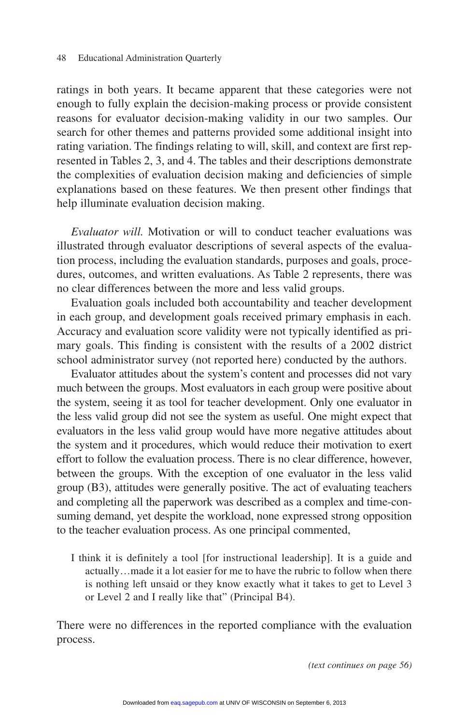ratings in both years. It became apparent that these categories were not enough to fully explain the decision-making process or provide consistent reasons for evaluator decision-making validity in our two samples. Our search for other themes and patterns provided some additional insight into rating variation. The findings relating to will, skill, and context are first represented in Tables 2, 3, and 4. The tables and their descriptions demonstrate the complexities of evaluation decision making and deficiencies of simple explanations based on these features. We then present other findings that help illuminate evaluation decision making.

*Evaluator will.* Motivation or will to conduct teacher evaluations was illustrated through evaluator descriptions of several aspects of the evaluation process, including the evaluation standards, purposes and goals, procedures, outcomes, and written evaluations. As Table 2 represents, there was no clear differences between the more and less valid groups.

Evaluation goals included both accountability and teacher development in each group, and development goals received primary emphasis in each. Accuracy and evaluation score validity were not typically identified as primary goals. This finding is consistent with the results of a 2002 district school administrator survey (not reported here) conducted by the authors.

Evaluator attitudes about the system's content and processes did not vary much between the groups. Most evaluators in each group were positive about the system, seeing it as tool for teacher development. Only one evaluator in the less valid group did not see the system as useful. One might expect that evaluators in the less valid group would have more negative attitudes about the system and it procedures, which would reduce their motivation to exert effort to follow the evaluation process. There is no clear difference, however, between the groups. With the exception of one evaluator in the less valid group (B3), attitudes were generally positive. The act of evaluating teachers and completing all the paperwork was described as a complex and time-consuming demand, yet despite the workload, none expressed strong opposition to the teacher evaluation process. As one principal commented,

I think it is definitely a tool [for instructional leadership]. It is a guide and actually…made it a lot easier for me to have the rubric to follow when there is nothing left unsaid or they know exactly what it takes to get to Level 3 or Level 2 and I really like that" (Principal B4).

There were no differences in the reported compliance with the evaluation process.

*(text continues on page 56)*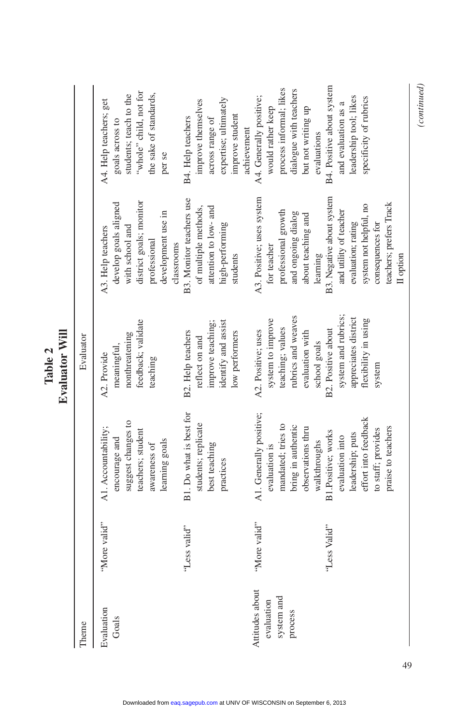|                                                        |                              |                                                                                                                                                         | <b>Lyanuatur will</b>                                                                                                                      |                                                                                                                                                      |                                                                                                                                                                     |
|--------------------------------------------------------|------------------------------|---------------------------------------------------------------------------------------------------------------------------------------------------------|--------------------------------------------------------------------------------------------------------------------------------------------|------------------------------------------------------------------------------------------------------------------------------------------------------|---------------------------------------------------------------------------------------------------------------------------------------------------------------------|
| Theme                                                  |                              |                                                                                                                                                         | Evaluator                                                                                                                                  |                                                                                                                                                      |                                                                                                                                                                     |
| Evaluation<br>Goals                                    | "More valid"                 | suggest changes to<br>A1. Accountability;<br>teachers; student<br>encourage and<br>learning goals<br>awareness of                                       | feedback; validate<br>nonthreatening<br>meaningful,<br>A2. Provide<br>teaching                                                             | district goals; monitor<br>develop goals aligned<br>development use in<br>with school and<br>A3. Help teachers<br>professional<br>classrooms         | "whole" child, not for<br>the sake of standards,<br>students; teach to the<br>A4. Help teachers; get<br>goals across to<br>per se                                   |
|                                                        | "Less valid"                 | B1. Do what is best for<br>students; replicate<br>best teaching<br>practices                                                                            | identify and assist<br>improve teaching;<br>B2. Help teachers<br>low performers<br>reflect on and                                          | B3. Monitor teachers use<br>attention to low- and<br>of multiple methods,<br>high-performing<br>students                                             | expertise; ultimately<br>improve themselves<br>improve student<br>B4. Help teachers<br>across range of<br>achievement                                               |
| Attitudes about<br>system and<br>evaluation<br>process | "More valid"<br>"Less Valid" | A1. Generally positive;<br>mandated; tries to<br>bring in authentic<br>observations thru<br><b>B1.Positive</b> ; works<br>walkthroughs<br>evaluation is | rubrics and weaves<br>system to improve<br>teaching; values<br>B2. Positive about<br>A2. Positive; uses<br>evaluation with<br>school goals | A3. Positive; uses system<br>B3. Negative about system<br>professional growth<br>and ongoing dialog<br>about teaching and<br>for teacher<br>learning | B4. Positive about system<br>process informal; likes<br>dialogue with teachers<br>A4. Generally positive;<br>would rather keep<br>but not writing up<br>evaluations |
|                                                        |                              | effort into feedback<br>praise to teachers<br>to staff; provides<br>leadership; puts<br>evaluation into                                                 | system and rubrics;<br>appreciates district<br>flexibility in using<br>system                                                              | teachers; prefers Track<br>system not helpful, no<br>and utility of teacher<br>evaluation; rating<br>consequences for<br>II option                   | specificity of rubrics<br>leadership tool; likes<br>and evaluation as a                                                                                             |

 $\label{eq:constrained} (continued)$ *(continued)*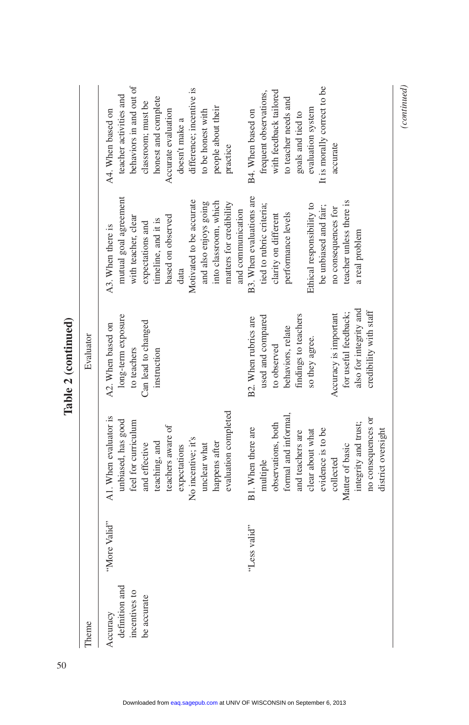| Theme                                                      |              |                                                                                                                                                                                                                                               | Evaluator                                                                                                                                                                                                                    |                                                                                                                                                                                                                                                                         |                                                                                                                                                                                                                                                 |
|------------------------------------------------------------|--------------|-----------------------------------------------------------------------------------------------------------------------------------------------------------------------------------------------------------------------------------------------|------------------------------------------------------------------------------------------------------------------------------------------------------------------------------------------------------------------------------|-------------------------------------------------------------------------------------------------------------------------------------------------------------------------------------------------------------------------------------------------------------------------|-------------------------------------------------------------------------------------------------------------------------------------------------------------------------------------------------------------------------------------------------|
| definition and<br>incentives to<br>be accurate<br>Accuracy | "More Valid" | evaluation completed<br>A1. When evaluator is<br>unbiased, has good<br>feel for curriculum<br>teachers aware of<br>No incentive; it's<br>teaching, and<br>and effective<br>happens after<br>unclear what<br>expectations                      | long-term exposure<br>Can lead to changed<br>A2. When based on<br>to teachers<br>instruction                                                                                                                                 | mutual goal agreement<br>Motivated to be accurate<br>into classroom, which<br>matters for credibility<br>and also enjoys going<br>and communication<br>based on observed<br>with teacher, clear<br>timeline, and it is<br>expectations and<br>A3. When there is<br>data | behaviors in and out of<br>difference; incentive is<br>teacher activities and<br>honest and complete<br>classroom; must be<br>people about their<br>A4. When based on<br>Accurate evaluation<br>to be honest with<br>doesn't make a<br>practice |
|                                                            | "Less valid" | formal and informal,<br>no consequences or<br>integrity and trust;<br>observations, both<br>B1. When there are<br>evidence is to be<br>district oversight<br>clear about what<br>and teachers are<br>Matter of basic<br>collected<br>multiple | also for integrity and<br>credibility with staff<br>for useful feedback;<br>Accuracy is important<br>findings to teachers<br>used and compared<br>B2. When rubrics are<br>behaviors, relate<br>so they agree.<br>to observed | B3. When evaluations are<br>teacher unless there is<br>tied to rubric criteria;<br>Ethical responsibility to<br>be unbiased and fair;<br>no consequences for<br>performance levels<br>clarity on different<br>a real problem                                            | It is morally correct to be<br>with feedback tailored<br>frequent observations,<br>to teacher needs and<br>evaluation system<br>B4. When based on<br>goals and tied to<br>accurate                                                              |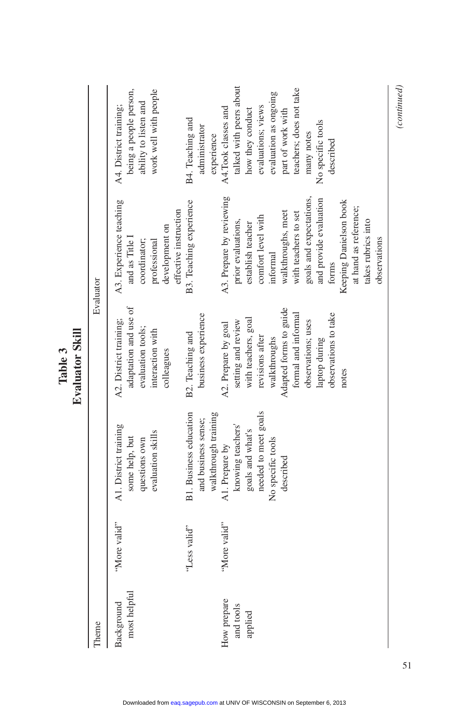|                                     |              |                                                                                                                   | <b>Like and the community</b>                                                                                                                                                                                                |                                                                                                                                                                                                                                                                                            |                                                                                                                                                                                                                   |
|-------------------------------------|--------------|-------------------------------------------------------------------------------------------------------------------|------------------------------------------------------------------------------------------------------------------------------------------------------------------------------------------------------------------------------|--------------------------------------------------------------------------------------------------------------------------------------------------------------------------------------------------------------------------------------------------------------------------------------------|-------------------------------------------------------------------------------------------------------------------------------------------------------------------------------------------------------------------|
| Theme                               |              |                                                                                                                   |                                                                                                                                                                                                                              | Evaluator                                                                                                                                                                                                                                                                                  |                                                                                                                                                                                                                   |
| most helpful<br>Background          | "More valid" | A1. District training<br>evaluation skills<br>some help, but<br>questions own                                     | adaptation and use of<br>A2. District training;<br>evaluation tools;<br>interaction with<br>colleagues                                                                                                                       | A3. Experience teaching<br>effective instruction<br>development on<br>and as Title I<br>professional<br>coordinator;                                                                                                                                                                       | work well with people<br>being a people person,<br>ability to listen and<br>A4. District training;                                                                                                                |
|                                     | "Less valid" | B1. Business education<br>walkthrough training<br>and business sense;                                             | business experience<br>B2. Teaching and                                                                                                                                                                                      | B3. Teaching experience                                                                                                                                                                                                                                                                    | B4. Teaching and<br>administrator<br>experience                                                                                                                                                                   |
| How prepare<br>and tools<br>applied | "More valid" | needed to meet goals<br>knowing teachers'<br>goals and what's<br>No specific tools<br>A1. Prepare by<br>described | Adapted forms to guide<br>observations to take<br>formal and informal<br>with teachers, goal<br>observations; uses<br>setting and review<br>A2. Prepare by goal<br>revisions after<br>walkthroughs<br>laptop during<br>notes | A3. Prepare by reviewing<br>goals and expectations,<br>and provide evaluation<br>Keeping Danielson book<br>at hand as reference;<br>walkthroughs, meet<br>with teachers to set<br>comfort level with<br>prior evaluations,<br>takes rubrics into<br>establish teacher<br>informal<br>forms | talked with peers about<br>teachers; does not take<br>evaluation as ongoing<br>evaluations; views<br>A4.Took classes and<br>how they conduct<br>part of work with<br>No specific tools<br>many notes<br>described |
|                                     |              |                                                                                                                   |                                                                                                                                                                                                                              | observations                                                                                                                                                                                                                                                                               |                                                                                                                                                                                                                   |

 $\left( continued\right)$ *(continued)*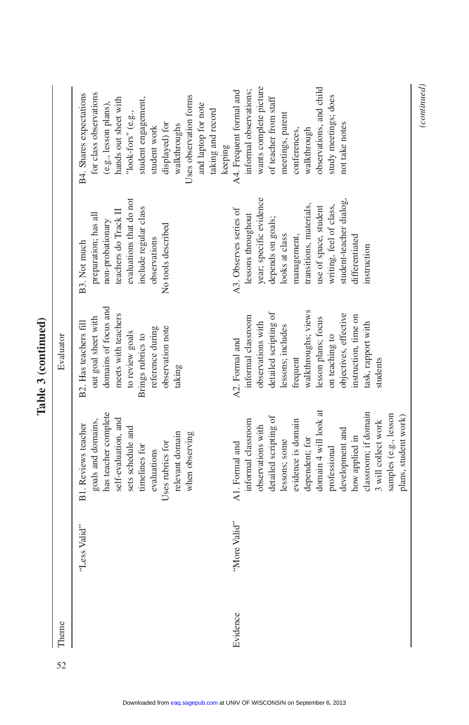| 52 | Theme    |              |                            | Evaluator             |                         |                         |
|----|----------|--------------|----------------------------|-----------------------|-------------------------|-------------------------|
|    |          | "Less Valid" | <b>B1. Reviews teacher</b> | B2. Has teachers fill | B3. Not much            | B4. Shares expectations |
|    |          |              | goals and domains,         | out goal sheet with   | preparation; has all    | for class observations  |
|    |          |              | has teacher complete       | domains of focus and  | non-probationary        | (e.g., lesson plans),   |
|    |          |              | self-evaluation, and       | meets with teachers   | teachers do Track II    | hands out sheet with    |
|    |          |              | sets schedule and          | to review goals       | evaluations that do not | "look-fors" (e.g.,      |
|    |          |              | timelines for              | Brings rubrics to     | include regular class   | student engagement,     |
|    |          |              | evaluations                | reference during      | observations            | student work            |
|    |          |              | Uses rubrics for           | observation note      | No tools described      | displayed) for          |
|    |          |              | relevant domain            | taking                |                         | walkthroughs            |
|    |          |              | when observing             |                       |                         | Uses observation forms  |
|    |          |              |                            |                       |                         | and laptop for note     |
|    |          |              |                            |                       |                         | taking and record       |
|    |          |              |                            |                       |                         | keeping                 |
|    | Evidence | "More Valid" | A1. Formal and             | A2. Formal and        | A3. Observes series of  | A4. Frequent formal and |
|    |          |              | informal classroom         | informal classroom    | lessons throughout      | informal observations;  |
|    |          |              | observations with          | observations with     | year; specific evidence | wants complete picture  |
|    |          |              | detailed scripting of      | detailed scripting of | depends on goals;       | of teacher from staff   |
|    |          |              | lessons; some              | lessons; includes     | looks at class          | meetings, parent        |
|    |          |              | evidence is domain         | frequent              | management,             | conferences,            |
|    |          |              | dependent; for             | walkthroughs; views   | transitions, materials, | walkthrough             |
|    |          |              | domain 4 will look at      | lesson plans; focus   | use of space, student   | observations, and child |
|    |          |              | professional               | on teaching to        | writing, feel of class, | study meetings; does    |
|    |          |              | development and            | objectives, effective | student-teacher dialog, | not take notes          |
|    |          |              | how applied in             | instruction, time on  | differentiated          |                         |
|    |          |              | classroom; if domain       | task, rapport with    | instruction             |                         |
|    |          |              | 3 will collect work        | students              |                         |                         |
|    |          |              | samples (e.g., lesson      |                       |                         |                         |
|    |          |              | plans, student work)       |                       |                         |                         |

*(continued)*

 $\label{eq:constrained} (continued)$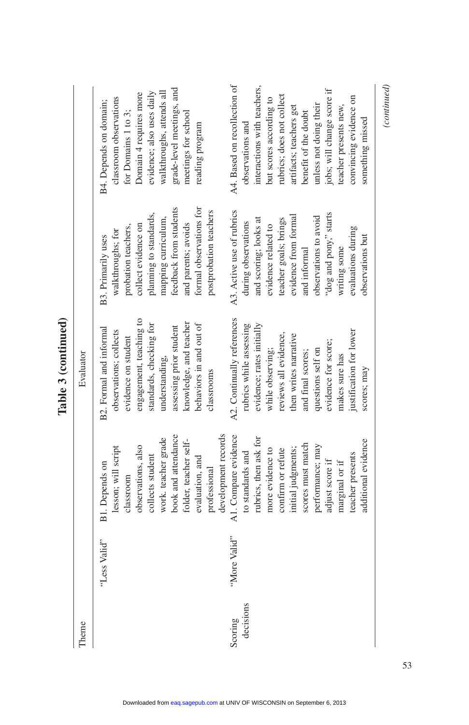| Theme                |                              |                                                                                                                                                                                                                                                                                                                                                                                                                                                                                            | Evaluator                                                                                                                                                                                                                                                                                                                                                                                                                                                                                                                               |                                                                                                                                                                                                                                                                                                                                                                                                                                                                                                                                |                                                                                                                                                                                                                                                                                                                                                                                                                                                                                                                                                                 |
|----------------------|------------------------------|--------------------------------------------------------------------------------------------------------------------------------------------------------------------------------------------------------------------------------------------------------------------------------------------------------------------------------------------------------------------------------------------------------------------------------------------------------------------------------------------|-----------------------------------------------------------------------------------------------------------------------------------------------------------------------------------------------------------------------------------------------------------------------------------------------------------------------------------------------------------------------------------------------------------------------------------------------------------------------------------------------------------------------------------------|--------------------------------------------------------------------------------------------------------------------------------------------------------------------------------------------------------------------------------------------------------------------------------------------------------------------------------------------------------------------------------------------------------------------------------------------------------------------------------------------------------------------------------|-----------------------------------------------------------------------------------------------------------------------------------------------------------------------------------------------------------------------------------------------------------------------------------------------------------------------------------------------------------------------------------------------------------------------------------------------------------------------------------------------------------------------------------------------------------------|
| decisions<br>Scoring | "More Valid"<br>"Less Valid" | development records<br>book and attendance<br>A1. Compare evidence<br>rubrics, then ask for<br>work. teacher grade<br>folder, teacher self-<br>additional evidence<br>scores must match<br>observations, also<br>performance; may<br>lesson; will script<br>more evidence to<br>initial judgments;<br>confirm or refute<br>to standards and<br>teacher presents<br>collects student<br>evaluation, and<br>adjust score if<br>marginal or if<br>B1. Depends on<br>professional<br>classroom | A2. Continually references<br>engagement, teaching to<br>knowledge, and teacher<br>behaviors in and out of<br>rubrics while assessing<br>standards, checking for<br>evidence; rates initially<br>B2. Formal and informal<br>assessing prior student<br>observations; collects<br>justification for lower<br>reviews all evidence,<br>then writes narrative<br>evidence on student<br>evidence for score;<br>while observing;<br>questions self on<br>and final scores;<br>makes sure has<br>understanding,<br>classrooms<br>scores; may | formal observations for<br>feedback from students<br>A3. Active use of rubrics<br>postprobation teachers<br>"dog and pony," starts<br>planning to standards,<br>evidence from formal<br>observations to avoid<br>mapping curriculum,<br>and scoring; looks at<br>teacher goals; brings<br>during observations<br>collect evidence on<br>and parents; avoids<br>evidence related to<br>probation teachers,<br>evaluations during<br>walkthroughs; for<br>B3. Primarily uses<br>observations but<br>and informal<br>writing some | A4. Based on recollection of<br>interactions with teachers,<br>grade-level meetings, and<br>jobs; will change score if<br>walkthroughs, attends all<br>evidence; also uses daily<br>Domain 4 requires more<br>rubrics; does not collect<br>convincing evidence on<br>classroom observations<br>but scores according to<br>B4. Depends on domain;<br>unless not doing their<br>artifacts; teachers get<br>teacher presents new,<br>for Domains 1 to 3;<br>benefit of the doubt<br>meetings for school<br>something missed<br>observations and<br>reading program |
|                      |                              |                                                                                                                                                                                                                                                                                                                                                                                                                                                                                            |                                                                                                                                                                                                                                                                                                                                                                                                                                                                                                                                         |                                                                                                                                                                                                                                                                                                                                                                                                                                                                                                                                | (continued)                                                                                                                                                                                                                                                                                                                                                                                                                                                                                                                                                     |

Table 3 (continued) **Table 3 (continued)**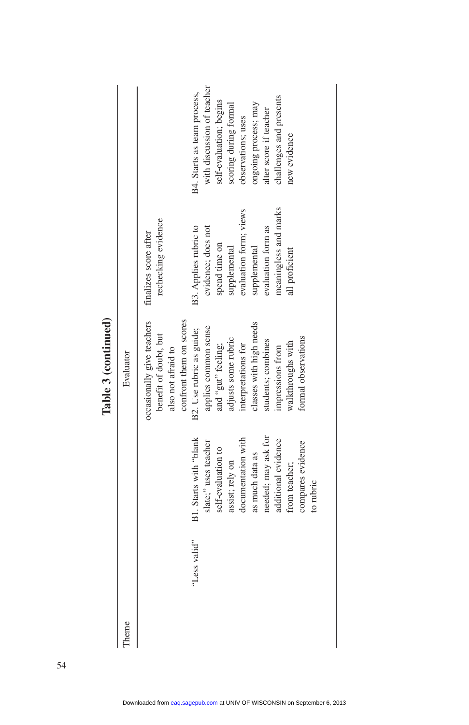|       |              |                                                | ranne o (communeu)                                                                                   |                                              |                                                           |
|-------|--------------|------------------------------------------------|------------------------------------------------------------------------------------------------------|----------------------------------------------|-----------------------------------------------------------|
| Theme |              |                                                | Evaluator                                                                                            |                                              |                                                           |
|       |              |                                                | occasionally give teachers<br>confront them on scores<br>benefit of doubt, but<br>also not afraid to | rechecking evidence<br>finalizes score after |                                                           |
|       | "Less valid" | B1. Starts with "blank<br>slate;" uses teacher | applies common sense<br>B2. Use rubric as guide;                                                     | B3. Applies rubric to<br>evidence; does not  | with discussion of teacher<br>B4. Starts as team process, |
|       |              | self-evaluation to                             | and "gut" feeling;                                                                                   | spend time on                                | self-evaluation; begins                                   |
|       |              | assist; rely on                                | adjusts some rubric                                                                                  | supplemental                                 | scoring during formal                                     |
|       |              | documentation with                             | interpretations for                                                                                  | evaluation form; views                       | observations; uses                                        |
|       |              | as much data as                                | classes with high needs                                                                              | supplemental                                 | ongoing process; may                                      |
|       |              | needed; may ask for                            | students; combines                                                                                   | evaluation form as                           | alter score if teacher                                    |
|       |              | additional evidence                            | impressions from                                                                                     | meaningless and marks                        | challenges and presents                                   |
|       |              | from teacher;                                  | walkthroughs with                                                                                    | all proficient                               | new evidence                                              |
|       |              | compares evidence                              | formal observations                                                                                  |                                              |                                                           |
|       |              | to rubric                                      |                                                                                                      |                                              |                                                           |

Table 3 (continued) **Table 3 (continued)**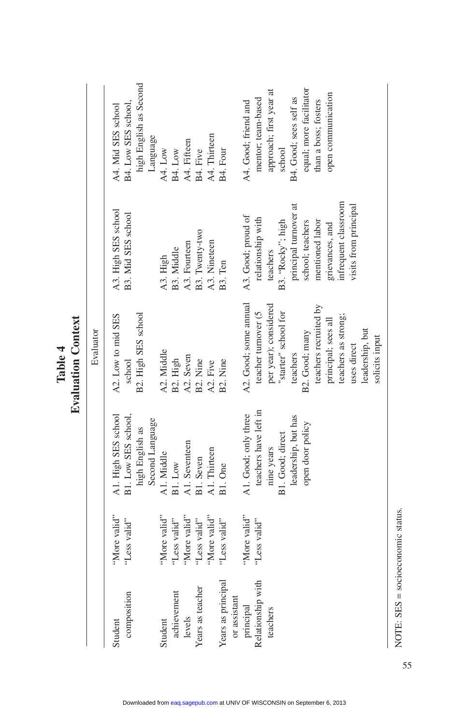|                                                                                  |                                                                              |                                                                                                                                       | Evaluator                                                                                                                                                                                                                                                                       |                                                                                                                                                                                                                         |                                                                                                                                                                                                |
|----------------------------------------------------------------------------------|------------------------------------------------------------------------------|---------------------------------------------------------------------------------------------------------------------------------------|---------------------------------------------------------------------------------------------------------------------------------------------------------------------------------------------------------------------------------------------------------------------------------|-------------------------------------------------------------------------------------------------------------------------------------------------------------------------------------------------------------------------|------------------------------------------------------------------------------------------------------------------------------------------------------------------------------------------------|
| composition<br>Student                                                           | "More valid"<br>"Less valid"                                                 | A1. High SES school<br>B1. Low SES school,<br>Second Language<br>high English as                                                      | B2. High SES school<br>A2. Low to mid SES<br>school                                                                                                                                                                                                                             | A3. High SES school<br>B3. Mid SES school                                                                                                                                                                               | high English as Second<br>B4. Low SES school,<br>A4. Mid SES school<br>Language                                                                                                                |
| Years as teacher<br>achievement<br>levels<br>Student                             | "More valid"<br>"More valid"<br>"More valid"<br>"Less valid"<br>"Less valid" | A1. Seventeen<br>A1. Thirteen<br>A1. Middle<br>B1. Seven<br>B1. Low                                                                   | A2. Middle<br>A2. Seven<br>B2. High<br>B <sub>2</sub> . Nine<br>A2. Five                                                                                                                                                                                                        | B3. Twenty-two<br>A3. Nineteen<br>A3. Fourteen<br>B3. Middle<br>A3. High                                                                                                                                                | A4. Thirteen<br>A4. Fifteen<br>A4. Low<br>B4. Low<br>B4. Five                                                                                                                                  |
| Years as principal<br>Relationship with<br>or assistant<br>principal<br>teachers | "More valid"<br>"Less valid"<br>"Less valid"                                 | teachers have left in<br>A1. Good; only three<br>leadership, but has<br>open door policy<br>B1. Good; direct<br>nine years<br>B1. One | A2. Good; some annual<br>per year); considered<br>teachers recruited by<br>teacher turnover (5<br>"starter" school for<br>teachers as strong;<br>principal; sees all<br>leadership, but<br>B2. Good; many<br>solicits input<br>uses direct<br>teachers<br>B <sub>2</sub> . Nine | infrequent classroom<br>principal turnover at<br>visits from principal<br>A3. Good; proud of<br>relationship with<br>B3. "Rocky"; high<br>mentioned labor<br>school; teachers<br>grievances, and<br>teachers<br>B3. Ten | approach; first year at<br>equal; more facilitator<br>open communication<br>B4. Good; sees self as<br>mentor; team-based<br>than a boss; fosters<br>A4. Good; friend and<br>school<br>B4. Four |

Table 4<br>**Evaluation Context Evaluation Context**

> NOTE: SES = socioeconomic status. NOTE: SES = socioeconomic status.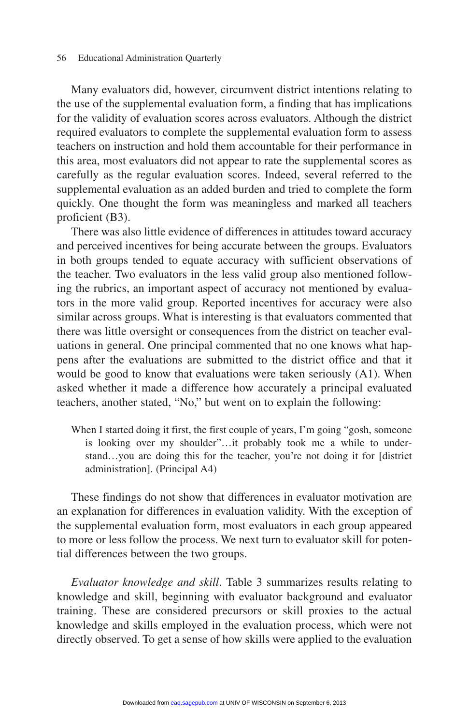Many evaluators did, however, circumvent district intentions relating to the use of the supplemental evaluation form, a finding that has implications for the validity of evaluation scores across evaluators. Although the district required evaluators to complete the supplemental evaluation form to assess teachers on instruction and hold them accountable for their performance in this area, most evaluators did not appear to rate the supplemental scores as carefully as the regular evaluation scores. Indeed, several referred to the supplemental evaluation as an added burden and tried to complete the form quickly. One thought the form was meaningless and marked all teachers proficient (B3).

There was also little evidence of differences in attitudes toward accuracy and perceived incentives for being accurate between the groups. Evaluators in both groups tended to equate accuracy with sufficient observations of the teacher. Two evaluators in the less valid group also mentioned following the rubrics, an important aspect of accuracy not mentioned by evaluators in the more valid group. Reported incentives for accuracy were also similar across groups. What is interesting is that evaluators commented that there was little oversight or consequences from the district on teacher evaluations in general. One principal commented that no one knows what happens after the evaluations are submitted to the district office and that it would be good to know that evaluations were taken seriously (A1). When asked whether it made a difference how accurately a principal evaluated teachers, another stated, "No," but went on to explain the following:

When I started doing it first, the first couple of years, I'm going "gosh, someone is looking over my shoulder"…it probably took me a while to understand…you are doing this for the teacher, you're not doing it for [district administration]. (Principal A4)

These findings do not show that differences in evaluator motivation are an explanation for differences in evaluation validity. With the exception of the supplemental evaluation form, most evaluators in each group appeared to more or less follow the process. We next turn to evaluator skill for potential differences between the two groups.

*Evaluator knowledge and skill*. Table 3 summarizes results relating to knowledge and skill, beginning with evaluator background and evaluator training. These are considered precursors or skill proxies to the actual knowledge and skills employed in the evaluation process, which were not directly observed. To get a sense of how skills were applied to the evaluation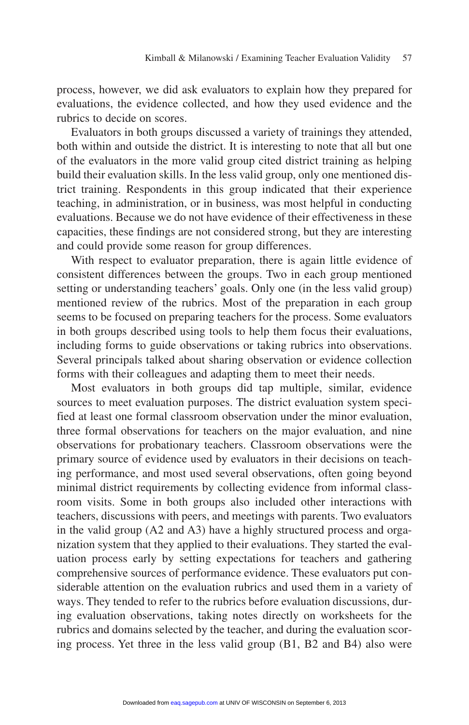process, however, we did ask evaluators to explain how they prepared for evaluations, the evidence collected, and how they used evidence and the rubrics to decide on scores.

Evaluators in both groups discussed a variety of trainings they attended, both within and outside the district. It is interesting to note that all but one of the evaluators in the more valid group cited district training as helping build their evaluation skills. In the less valid group, only one mentioned district training. Respondents in this group indicated that their experience teaching, in administration, or in business, was most helpful in conducting evaluations. Because we do not have evidence of their effectiveness in these capacities, these findings are not considered strong, but they are interesting and could provide some reason for group differences.

With respect to evaluator preparation, there is again little evidence of consistent differences between the groups. Two in each group mentioned setting or understanding teachers' goals. Only one (in the less valid group) mentioned review of the rubrics. Most of the preparation in each group seems to be focused on preparing teachers for the process. Some evaluators in both groups described using tools to help them focus their evaluations, including forms to guide observations or taking rubrics into observations. Several principals talked about sharing observation or evidence collection forms with their colleagues and adapting them to meet their needs.

Most evaluators in both groups did tap multiple, similar, evidence sources to meet evaluation purposes. The district evaluation system specified at least one formal classroom observation under the minor evaluation, three formal observations for teachers on the major evaluation, and nine observations for probationary teachers. Classroom observations were the primary source of evidence used by evaluators in their decisions on teaching performance, and most used several observations, often going beyond minimal district requirements by collecting evidence from informal classroom visits. Some in both groups also included other interactions with teachers, discussions with peers, and meetings with parents. Two evaluators in the valid group (A2 and A3) have a highly structured process and organization system that they applied to their evaluations. They started the evaluation process early by setting expectations for teachers and gathering comprehensive sources of performance evidence. These evaluators put considerable attention on the evaluation rubrics and used them in a variety of ways. They tended to refer to the rubrics before evaluation discussions, during evaluation observations, taking notes directly on worksheets for the rubrics and domains selected by the teacher, and during the evaluation scoring process. Yet three in the less valid group (B1, B2 and B4) also were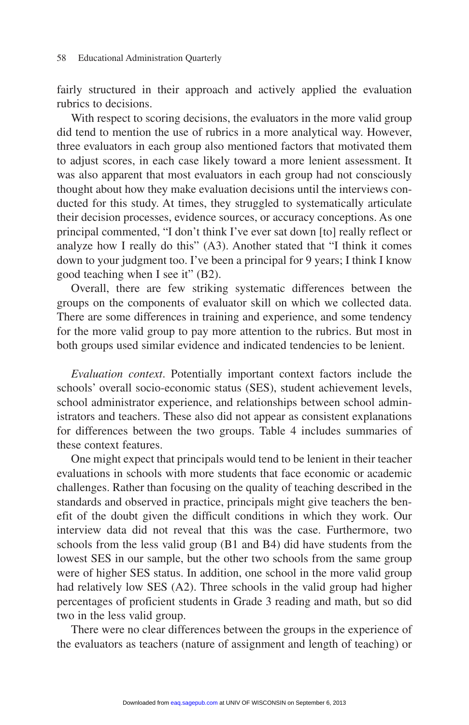fairly structured in their approach and actively applied the evaluation rubrics to decisions.

With respect to scoring decisions, the evaluators in the more valid group did tend to mention the use of rubrics in a more analytical way. However, three evaluators in each group also mentioned factors that motivated them to adjust scores, in each case likely toward a more lenient assessment. It was also apparent that most evaluators in each group had not consciously thought about how they make evaluation decisions until the interviews conducted for this study. At times, they struggled to systematically articulate their decision processes, evidence sources, or accuracy conceptions. As one principal commented, "I don't think I've ever sat down [to] really reflect or analyze how I really do this" (A3). Another stated that "I think it comes down to your judgment too. I've been a principal for 9 years; I think I know good teaching when I see it" (B2).

Overall, there are few striking systematic differences between the groups on the components of evaluator skill on which we collected data. There are some differences in training and experience, and some tendency for the more valid group to pay more attention to the rubrics. But most in both groups used similar evidence and indicated tendencies to be lenient.

*Evaluation context*. Potentially important context factors include the schools' overall socio-economic status (SES), student achievement levels, school administrator experience, and relationships between school administrators and teachers. These also did not appear as consistent explanations for differences between the two groups. Table 4 includes summaries of these context features.

One might expect that principals would tend to be lenient in their teacher evaluations in schools with more students that face economic or academic challenges. Rather than focusing on the quality of teaching described in the standards and observed in practice, principals might give teachers the benefit of the doubt given the difficult conditions in which they work. Our interview data did not reveal that this was the case. Furthermore, two schools from the less valid group (B1 and B4) did have students from the lowest SES in our sample, but the other two schools from the same group were of higher SES status. In addition, one school in the more valid group had relatively low SES (A2). Three schools in the valid group had higher percentages of proficient students in Grade 3 reading and math, but so did two in the less valid group.

There were no clear differences between the groups in the experience of the evaluators as teachers (nature of assignment and length of teaching) or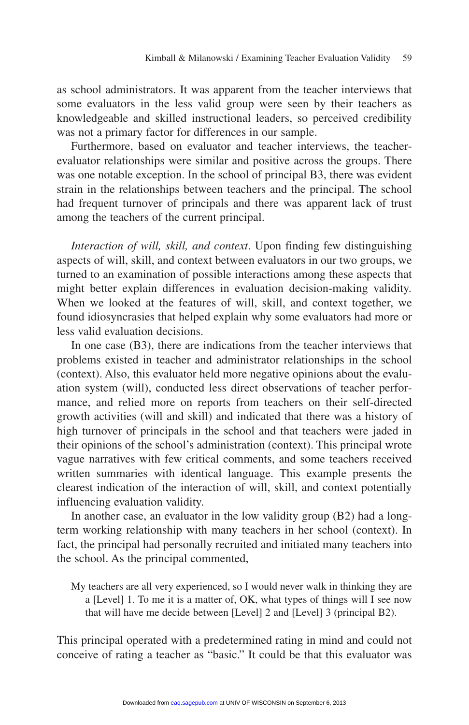as school administrators. It was apparent from the teacher interviews that some evaluators in the less valid group were seen by their teachers as knowledgeable and skilled instructional leaders, so perceived credibility was not a primary factor for differences in our sample.

Furthermore, based on evaluator and teacher interviews, the teacherevaluator relationships were similar and positive across the groups. There was one notable exception. In the school of principal B3, there was evident strain in the relationships between teachers and the principal. The school had frequent turnover of principals and there was apparent lack of trust among the teachers of the current principal.

*Interaction of will, skill, and context*. Upon finding few distinguishing aspects of will, skill, and context between evaluators in our two groups, we turned to an examination of possible interactions among these aspects that might better explain differences in evaluation decision-making validity. When we looked at the features of will, skill, and context together, we found idiosyncrasies that helped explain why some evaluators had more or less valid evaluation decisions.

In one case (B3), there are indications from the teacher interviews that problems existed in teacher and administrator relationships in the school (context). Also, this evaluator held more negative opinions about the evaluation system (will), conducted less direct observations of teacher performance, and relied more on reports from teachers on their self-directed growth activities (will and skill) and indicated that there was a history of high turnover of principals in the school and that teachers were jaded in their opinions of the school's administration (context). This principal wrote vague narratives with few critical comments, and some teachers received written summaries with identical language. This example presents the clearest indication of the interaction of will, skill, and context potentially influencing evaluation validity.

In another case, an evaluator in the low validity group (B2) had a longterm working relationship with many teachers in her school (context). In fact, the principal had personally recruited and initiated many teachers into the school. As the principal commented,

My teachers are all very experienced, so I would never walk in thinking they are a [Level] 1. To me it is a matter of, OK, what types of things will I see now that will have me decide between [Level] 2 and [Level] 3 (principal B2).

This principal operated with a predetermined rating in mind and could not conceive of rating a teacher as "basic." It could be that this evaluator was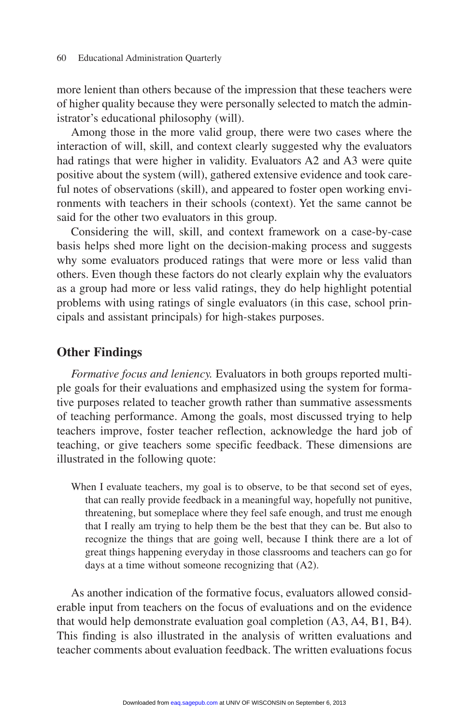more lenient than others because of the impression that these teachers were of higher quality because they were personally selected to match the administrator's educational philosophy (will).

Among those in the more valid group, there were two cases where the interaction of will, skill, and context clearly suggested why the evaluators had ratings that were higher in validity. Evaluators A2 and A3 were quite positive about the system (will), gathered extensive evidence and took careful notes of observations (skill), and appeared to foster open working environments with teachers in their schools (context). Yet the same cannot be said for the other two evaluators in this group.

Considering the will, skill, and context framework on a case-by-case basis helps shed more light on the decision-making process and suggests why some evaluators produced ratings that were more or less valid than others. Even though these factors do not clearly explain why the evaluators as a group had more or less valid ratings, they do help highlight potential problems with using ratings of single evaluators (in this case, school principals and assistant principals) for high-stakes purposes.

#### **Other Findings**

*Formative focus and leniency.* Evaluators in both groups reported multiple goals for their evaluations and emphasized using the system for formative purposes related to teacher growth rather than summative assessments of teaching performance. Among the goals, most discussed trying to help teachers improve, foster teacher reflection, acknowledge the hard job of teaching, or give teachers some specific feedback. These dimensions are illustrated in the following quote:

When I evaluate teachers, my goal is to observe, to be that second set of eyes, that can really provide feedback in a meaningful way, hopefully not punitive, threatening, but someplace where they feel safe enough, and trust me enough that I really am trying to help them be the best that they can be. But also to recognize the things that are going well, because I think there are a lot of great things happening everyday in those classrooms and teachers can go for days at a time without someone recognizing that (A2).

As another indication of the formative focus, evaluators allowed considerable input from teachers on the focus of evaluations and on the evidence that would help demonstrate evaluation goal completion (A3, A4, B1, B4). This finding is also illustrated in the analysis of written evaluations and teacher comments about evaluation feedback. The written evaluations focus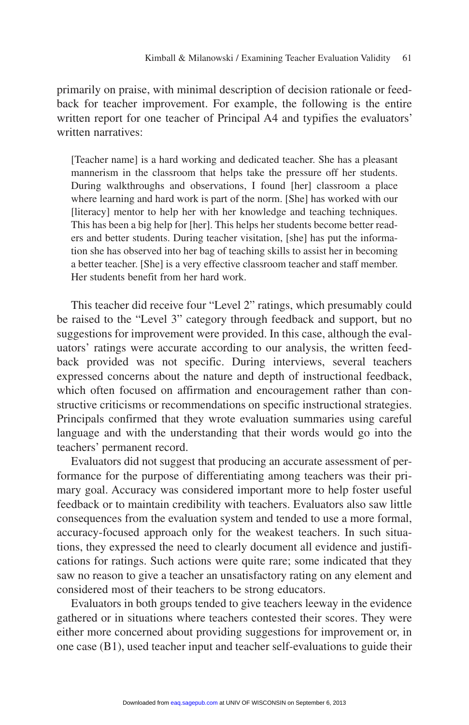primarily on praise, with minimal description of decision rationale or feedback for teacher improvement. For example, the following is the entire written report for one teacher of Principal A4 and typifies the evaluators' written narratives:

[Teacher name] is a hard working and dedicated teacher. She has a pleasant mannerism in the classroom that helps take the pressure off her students. During walkthroughs and observations, I found [her] classroom a place where learning and hard work is part of the norm. [She] has worked with our [literacy] mentor to help her with her knowledge and teaching techniques. This has been a big help for [her]. This helps her students become better readers and better students. During teacher visitation, [she] has put the information she has observed into her bag of teaching skills to assist her in becoming a better teacher. [She] is a very effective classroom teacher and staff member. Her students benefit from her hard work.

This teacher did receive four "Level 2" ratings, which presumably could be raised to the "Level 3" category through feedback and support, but no suggestions for improvement were provided. In this case, although the evaluators' ratings were accurate according to our analysis, the written feedback provided was not specific. During interviews, several teachers expressed concerns about the nature and depth of instructional feedback, which often focused on affirmation and encouragement rather than constructive criticisms or recommendations on specific instructional strategies. Principals confirmed that they wrote evaluation summaries using careful language and with the understanding that their words would go into the teachers' permanent record.

Evaluators did not suggest that producing an accurate assessment of performance for the purpose of differentiating among teachers was their primary goal. Accuracy was considered important more to help foster useful feedback or to maintain credibility with teachers. Evaluators also saw little consequences from the evaluation system and tended to use a more formal, accuracy-focused approach only for the weakest teachers. In such situations, they expressed the need to clearly document all evidence and justifications for ratings. Such actions were quite rare; some indicated that they saw no reason to give a teacher an unsatisfactory rating on any element and considered most of their teachers to be strong educators.

Evaluators in both groups tended to give teachers leeway in the evidence gathered or in situations where teachers contested their scores. They were either more concerned about providing suggestions for improvement or, in one case (B1), used teacher input and teacher self-evaluations to guide their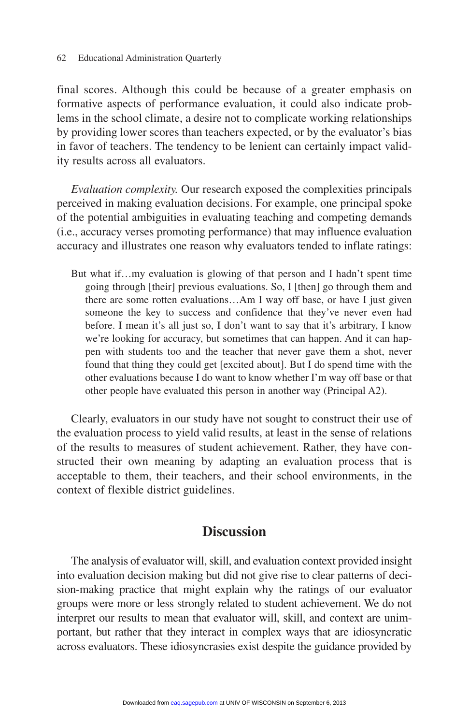final scores. Although this could be because of a greater emphasis on formative aspects of performance evaluation, it could also indicate problems in the school climate, a desire not to complicate working relationships by providing lower scores than teachers expected, or by the evaluator's bias in favor of teachers. The tendency to be lenient can certainly impact validity results across all evaluators.

*Evaluation complexity.* Our research exposed the complexities principals perceived in making evaluation decisions. For example, one principal spoke of the potential ambiguities in evaluating teaching and competing demands (i.e., accuracy verses promoting performance) that may influence evaluation accuracy and illustrates one reason why evaluators tended to inflate ratings:

But what if…my evaluation is glowing of that person and I hadn't spent time going through [their] previous evaluations. So, I [then] go through them and there are some rotten evaluations…Am I way off base, or have I just given someone the key to success and confidence that they've never even had before. I mean it's all just so, I don't want to say that it's arbitrary, I know we're looking for accuracy, but sometimes that can happen. And it can happen with students too and the teacher that never gave them a shot, never found that thing they could get [excited about]. But I do spend time with the other evaluations because I do want to know whether I'm way off base or that other people have evaluated this person in another way (Principal A2).

Clearly, evaluators in our study have not sought to construct their use of the evaluation process to yield valid results, at least in the sense of relations of the results to measures of student achievement. Rather, they have constructed their own meaning by adapting an evaluation process that is acceptable to them, their teachers, and their school environments, in the context of flexible district guidelines.

# **Discussion**

The analysis of evaluator will, skill, and evaluation context provided insight into evaluation decision making but did not give rise to clear patterns of decision-making practice that might explain why the ratings of our evaluator groups were more or less strongly related to student achievement. We do not interpret our results to mean that evaluator will, skill, and context are unimportant, but rather that they interact in complex ways that are idiosyncratic across evaluators. These idiosyncrasies exist despite the guidance provided by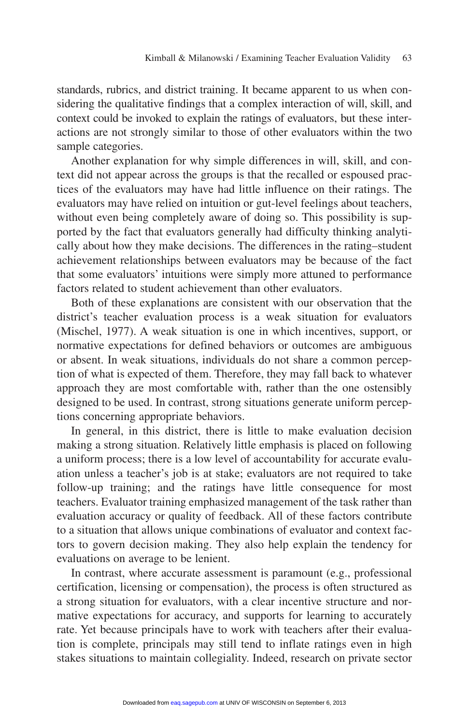standards, rubrics, and district training. It became apparent to us when considering the qualitative findings that a complex interaction of will, skill, and context could be invoked to explain the ratings of evaluators, but these interactions are not strongly similar to those of other evaluators within the two sample categories.

Another explanation for why simple differences in will, skill, and context did not appear across the groups is that the recalled or espoused practices of the evaluators may have had little influence on their ratings. The evaluators may have relied on intuition or gut-level feelings about teachers, without even being completely aware of doing so. This possibility is supported by the fact that evaluators generally had difficulty thinking analytically about how they make decisions. The differences in the rating–student achievement relationships between evaluators may be because of the fact that some evaluators' intuitions were simply more attuned to performance factors related to student achievement than other evaluators.

Both of these explanations are consistent with our observation that the district's teacher evaluation process is a weak situation for evaluators (Mischel, 1977). A weak situation is one in which incentives, support, or normative expectations for defined behaviors or outcomes are ambiguous or absent. In weak situations, individuals do not share a common perception of what is expected of them. Therefore, they may fall back to whatever approach they are most comfortable with, rather than the one ostensibly designed to be used. In contrast, strong situations generate uniform perceptions concerning appropriate behaviors.

In general, in this district, there is little to make evaluation decision making a strong situation. Relatively little emphasis is placed on following a uniform process; there is a low level of accountability for accurate evaluation unless a teacher's job is at stake; evaluators are not required to take follow-up training; and the ratings have little consequence for most teachers. Evaluator training emphasized management of the task rather than evaluation accuracy or quality of feedback. All of these factors contribute to a situation that allows unique combinations of evaluator and context factors to govern decision making. They also help explain the tendency for evaluations on average to be lenient.

In contrast, where accurate assessment is paramount (e.g., professional certification, licensing or compensation), the process is often structured as a strong situation for evaluators, with a clear incentive structure and normative expectations for accuracy, and supports for learning to accurately rate. Yet because principals have to work with teachers after their evaluation is complete, principals may still tend to inflate ratings even in high stakes situations to maintain collegiality. Indeed, research on private sector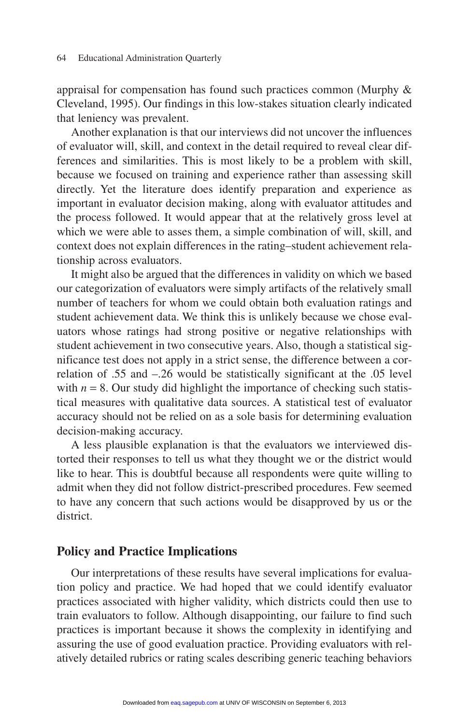appraisal for compensation has found such practices common (Murphy & Cleveland, 1995). Our findings in this low-stakes situation clearly indicated that leniency was prevalent.

Another explanation is that our interviews did not uncover the influences of evaluator will, skill, and context in the detail required to reveal clear differences and similarities. This is most likely to be a problem with skill, because we focused on training and experience rather than assessing skill directly. Yet the literature does identify preparation and experience as important in evaluator decision making, along with evaluator attitudes and the process followed. It would appear that at the relatively gross level at which we were able to asses them, a simple combination of will, skill, and context does not explain differences in the rating–student achievement relationship across evaluators.

It might also be argued that the differences in validity on which we based our categorization of evaluators were simply artifacts of the relatively small number of teachers for whom we could obtain both evaluation ratings and student achievement data. We think this is unlikely because we chose evaluators whose ratings had strong positive or negative relationships with student achievement in two consecutive years. Also, though a statistical significance test does not apply in a strict sense, the difference between a correlation of .55 and –.26 would be statistically significant at the .05 level with  $n = 8$ . Our study did highlight the importance of checking such statistical measures with qualitative data sources. A statistical test of evaluator accuracy should not be relied on as a sole basis for determining evaluation decision-making accuracy.

A less plausible explanation is that the evaluators we interviewed distorted their responses to tell us what they thought we or the district would like to hear. This is doubtful because all respondents were quite willing to admit when they did not follow district-prescribed procedures. Few seemed to have any concern that such actions would be disapproved by us or the district.

#### **Policy and Practice Implications**

Our interpretations of these results have several implications for evaluation policy and practice. We had hoped that we could identify evaluator practices associated with higher validity, which districts could then use to train evaluators to follow. Although disappointing, our failure to find such practices is important because it shows the complexity in identifying and assuring the use of good evaluation practice. Providing evaluators with relatively detailed rubrics or rating scales describing generic teaching behaviors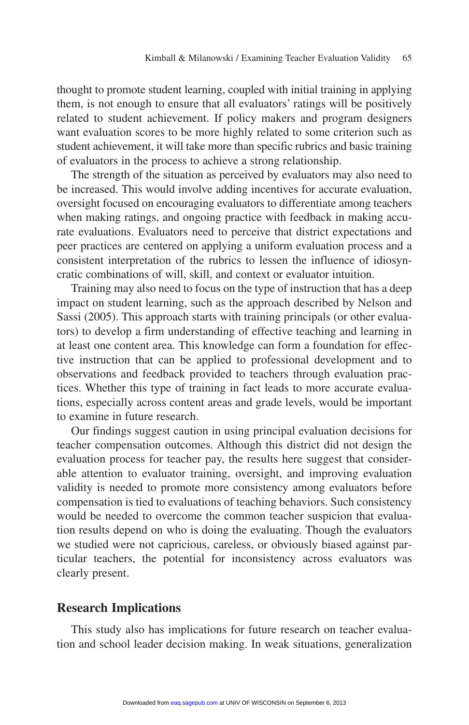thought to promote student learning, coupled with initial training in applying them, is not enough to ensure that all evaluators' ratings will be positively related to student achievement. If policy makers and program designers want evaluation scores to be more highly related to some criterion such as student achievement, it will take more than specific rubrics and basic training of evaluators in the process to achieve a strong relationship.

The strength of the situation as perceived by evaluators may also need to be increased. This would involve adding incentives for accurate evaluation, oversight focused on encouraging evaluators to differentiate among teachers when making ratings, and ongoing practice with feedback in making accurate evaluations. Evaluators need to perceive that district expectations and peer practices are centered on applying a uniform evaluation process and a consistent interpretation of the rubrics to lessen the influence of idiosyncratic combinations of will, skill, and context or evaluator intuition.

Training may also need to focus on the type of instruction that has a deep impact on student learning, such as the approach described by Nelson and Sassi (2005). This approach starts with training principals (or other evaluators) to develop a firm understanding of effective teaching and learning in at least one content area. This knowledge can form a foundation for effective instruction that can be applied to professional development and to observations and feedback provided to teachers through evaluation practices. Whether this type of training in fact leads to more accurate evaluations, especially across content areas and grade levels, would be important to examine in future research.

Our findings suggest caution in using principal evaluation decisions for teacher compensation outcomes. Although this district did not design the evaluation process for teacher pay, the results here suggest that considerable attention to evaluator training, oversight, and improving evaluation validity is needed to promote more consistency among evaluators before compensation is tied to evaluations of teaching behaviors. Such consistency would be needed to overcome the common teacher suspicion that evaluation results depend on who is doing the evaluating. Though the evaluators we studied were not capricious, careless, or obviously biased against particular teachers, the potential for inconsistency across evaluators was clearly present.

#### **Research Implications**

This study also has implications for future research on teacher evaluation and school leader decision making. In weak situations, generalization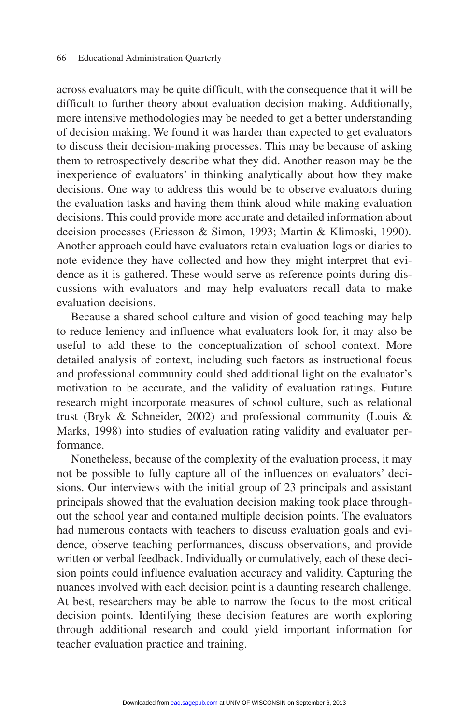across evaluators may be quite difficult, with the consequence that it will be difficult to further theory about evaluation decision making. Additionally, more intensive methodologies may be needed to get a better understanding of decision making. We found it was harder than expected to get evaluators to discuss their decision-making processes. This may be because of asking them to retrospectively describe what they did. Another reason may be the inexperience of evaluators' in thinking analytically about how they make decisions. One way to address this would be to observe evaluators during the evaluation tasks and having them think aloud while making evaluation decisions. This could provide more accurate and detailed information about decision processes (Ericsson & Simon, 1993; Martin & Klimoski, 1990). Another approach could have evaluators retain evaluation logs or diaries to note evidence they have collected and how they might interpret that evidence as it is gathered. These would serve as reference points during discussions with evaluators and may help evaluators recall data to make evaluation decisions.

Because a shared school culture and vision of good teaching may help to reduce leniency and influence what evaluators look for, it may also be useful to add these to the conceptualization of school context. More detailed analysis of context, including such factors as instructional focus and professional community could shed additional light on the evaluator's motivation to be accurate, and the validity of evaluation ratings. Future research might incorporate measures of school culture, such as relational trust (Bryk & Schneider, 2002) and professional community (Louis & Marks, 1998) into studies of evaluation rating validity and evaluator performance.

Nonetheless, because of the complexity of the evaluation process, it may not be possible to fully capture all of the influences on evaluators' decisions. Our interviews with the initial group of 23 principals and assistant principals showed that the evaluation decision making took place throughout the school year and contained multiple decision points. The evaluators had numerous contacts with teachers to discuss evaluation goals and evidence, observe teaching performances, discuss observations, and provide written or verbal feedback. Individually or cumulatively, each of these decision points could influence evaluation accuracy and validity. Capturing the nuances involved with each decision point is a daunting research challenge. At best, researchers may be able to narrow the focus to the most critical decision points. Identifying these decision features are worth exploring through additional research and could yield important information for teacher evaluation practice and training.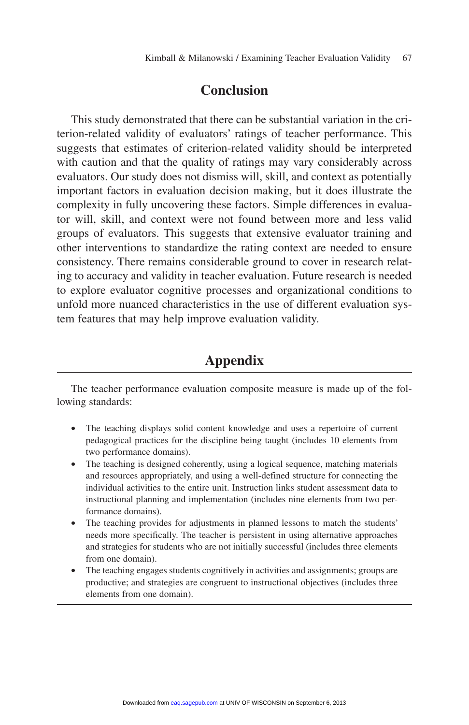# **Conclusion**

This study demonstrated that there can be substantial variation in the criterion-related validity of evaluators' ratings of teacher performance. This suggests that estimates of criterion-related validity should be interpreted with caution and that the quality of ratings may vary considerably across evaluators. Our study does not dismiss will, skill, and context as potentially important factors in evaluation decision making, but it does illustrate the complexity in fully uncovering these factors. Simple differences in evaluator will, skill, and context were not found between more and less valid groups of evaluators. This suggests that extensive evaluator training and other interventions to standardize the rating context are needed to ensure consistency. There remains considerable ground to cover in research relating to accuracy and validity in teacher evaluation. Future research is needed to explore evaluator cognitive processes and organizational conditions to unfold more nuanced characteristics in the use of different evaluation system features that may help improve evaluation validity.

# **Appendix**

The teacher performance evaluation composite measure is made up of the following standards:

- The teaching displays solid content knowledge and uses a repertoire of current pedagogical practices for the discipline being taught (includes 10 elements from two performance domains).
- The teaching is designed coherently, using a logical sequence, matching materials and resources appropriately, and using a well-defined structure for connecting the individual activities to the entire unit. Instruction links student assessment data to instructional planning and implementation (includes nine elements from two performance domains).
- The teaching provides for adjustments in planned lessons to match the students' needs more specifically. The teacher is persistent in using alternative approaches and strategies for students who are not initially successful (includes three elements from one domain).
- The teaching engages students cognitively in activities and assignments; groups are productive; and strategies are congruent to instructional objectives (includes three elements from one domain).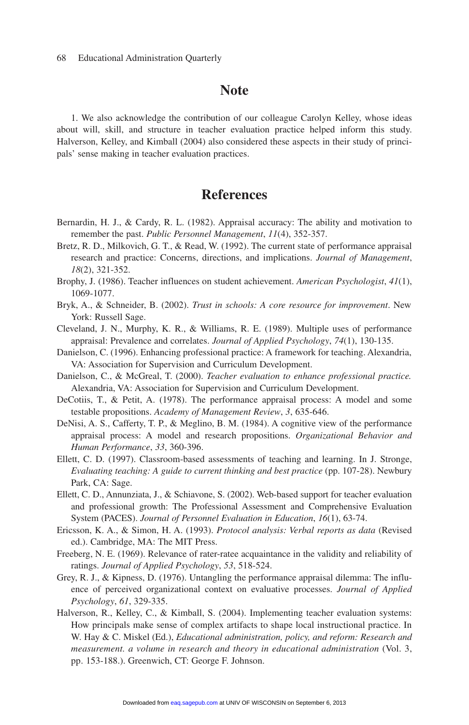# **Note**

1. We also acknowledge the contribution of our colleague Carolyn Kelley, whose ideas about will, skill, and structure in teacher evaluation practice helped inform this study. Halverson, Kelley, and Kimball (2004) also considered these aspects in their study of principals' sense making in teacher evaluation practices.

# **References**

- Bernardin, H. J., & Cardy, R. L. (1982). Appraisal accuracy: The ability and motivation to remember the past. *Public Personnel Management*, *11*(4), 352-357.
- Bretz, R. D., Milkovich, G. T., & Read, W. (1992). The current state of performance appraisal research and practice: Concerns, directions, and implications. *Journal of Management*, *18*(2), 321-352.
- Brophy, J. (1986). Teacher influences on student achievement. *American Psychologist*, *41*(1), 1069-1077.
- Bryk, A., & Schneider, B. (2002). *Trust in schools: A core resource for improvement*. New York: Russell Sage.
- Cleveland, J. N., Murphy, K. R., & Williams, R. E. (1989). Multiple uses of performance appraisal: Prevalence and correlates. *Journal of Applied Psychology*, *74*(1), 130-135.
- Danielson, C. (1996). Enhancing professional practice: A framework for teaching. Alexandria, VA: Association for Supervision and Curriculum Development.
- Danielson, C., & McGreal, T. (2000). *Teacher evaluation to enhance professional practice.* Alexandria, VA: Association for Supervision and Curriculum Development.
- DeCotiis, T., & Petit, A. (1978). The performance appraisal process: A model and some testable propositions. *Academy of Management Review*, *3*, 635-646.
- DeNisi, A. S., Cafferty, T. P., & Meglino, B. M. (1984). A cognitive view of the performance appraisal process: A model and research propositions. *Organizational Behavior and Human Performance*, *33*, 360-396.
- Ellett, C. D. (1997). Classroom-based assessments of teaching and learning. In J. Stronge, *Evaluating teaching: A guide to current thinking and best practice* (pp. 107-28). Newbury Park, CA: Sage.
- Ellett, C. D., Annunziata, J., & Schiavone, S. (2002). Web-based support for teacher evaluation and professional growth: The Professional Assessment and Comprehensive Evaluation System (PACES). *Journal of Personnel Evaluation in Education*, *16*(1), 63-74.
- Ericsson, K. A., & Simon, H. A. (1993). *Protocol analysis: Verbal reports as data* (Revised ed.). Cambridge, MA: The MIT Press.
- Freeberg, N. E. (1969). Relevance of rater-ratee acquaintance in the validity and reliability of ratings. *Journal of Applied Psychology*, *53*, 518-524.
- Grey, R. J., & Kipness, D. (1976). Untangling the performance appraisal dilemma: The influence of perceived organizational context on evaluative processes. *Journal of Applied Psychology*, *61*, 329-335.
- Halverson, R., Kelley, C., & Kimball, S. (2004). Implementing teacher evaluation systems: How principals make sense of complex artifacts to shape local instructional practice. In W. Hay & C. Miskel (Ed.), *Educational administration, policy, and reform: Research and measurement. a volume in research and theory in educational administration* (Vol. 3, pp. 153-188.). Greenwich, CT: George F. Johnson.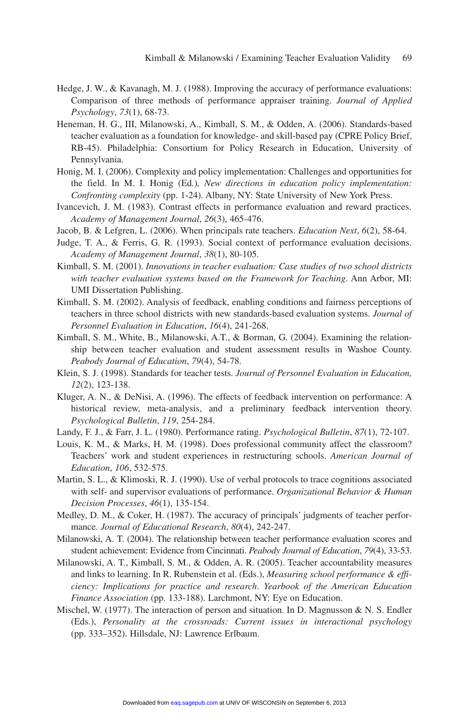- Hedge, J. W., & Kavanagh, M. J. (1988). Improving the accuracy of performance evaluations: Comparison of three methods of performance appraiser training. *Journal of Applied Psychology*, *73*(1), 68-73.
- Heneman, H. G., III, Milanowski, A., Kimball, S. M., & Odden, A. (2006). Standards-based teacher evaluation as a foundation for knowledge- and skill-based pay (CPRE Policy Brief, RB-45). Philadelphia: Consortium for Policy Research in Education, University of Pennsylvania.
- Honig, M. I. (2006). Complexity and policy implementation: Challenges and opportunities for the field. In M. I. Honig (Ed*.*)*, New directions in education policy implementation: Confronting complexity* (pp. 1-24)*.* Albany, NY: State University of New York Press.
- Ivancevich, J. M. (1983). Contrast effects in performance evaluation and reward practices. *Academy of Management Journal*, *26*(3), 465-476.
- Jacob, B. & Lefgren, L. (2006). When principals rate teachers. *Education Next*, *6*(2), 58-64.
- Judge, T. A., & Ferris, G. R. (1993). Social context of performance evaluation decisions. *Academy of Management Journal*, *38*(1), 80-105.
- Kimball, S. M. (2001). *Innovations in teacher evaluation: Case studies of two school districts with teacher evaluation systems based on the Framework for Teaching*. Ann Arbor, MI: UMI Dissertation Publishing.
- Kimball, S. M. (2002). Analysis of feedback, enabling conditions and fairness perceptions of teachers in three school districts with new standards-based evaluation systems. *Journal of Personnel Evaluation in Education*, *16*(4), 241-268.
- Kimball, S. M., White, B., Milanowski, A.T., & Borman, G. (2004). Examining the relationship between teacher evaluation and student assessment results in Washoe County. *Peabody Journal of Education*, *79*(4), 54-78.
- Klein, S. J. (1998). Standards for teacher tests. *Journal of Personnel Evaluation in Education, 12*(2), 123-138.
- Kluger, A. N., & DeNisi, A. (1996). The effects of feedback intervention on performance: A historical review, meta-analysis, and a preliminary feedback intervention theory. *Psychological Bulletin*, *119*, 254-284.
- Landy, F. J., & Farr, J. L. (1980). Performance rating. *Psychological Bulletin*, *87*(1), 72-107.
- Louis, K. M., & Marks, H. M. (1998). Does professional community affect the classroom? Teachers' work and student experiences in restructuring schools. *American Journal of Education*, *106*, 532-575.
- Martin, S. L., & Klimoski, R. J. (1990). Use of verbal protocols to trace cognitions associated with self- and supervisor evaluations of performance. *Organizational Behavior & Human Decision Processes*, *46*(1), 135-154.
- Medley, D. M., & Coker, H. (1987). The accuracy of principals' judgments of teacher performance. *Journal of Educational Research*, *80*(4), 242-247.
- Milanowski, A. T. (2004). The relationship between teacher performance evaluation scores and student achievement: Evidence from Cincinnati. *Peabody Journal of Education*, *79*(4), 33-53.
- Milanowski, A. T., Kimball, S. M., & Odden, A. R. (2005). Teacher accountability measures and links to learning. In R. Rubenstein et al. (Eds.), *Measuring school performance & efficiency: Implications for practice and research*. *Yearbook of the American Education Finance Association* (pp. 133-188). Larchmont, NY: Eye on Education.
- Mischel, W. (1977). The interaction of person and situation. In D. Magnusson & N. S. Endler (Eds.), *Personality at the crossroads: Current issues in interactional psychology* (pp. 333–352). Hillsdale, NJ: Lawrence Erlbaum.